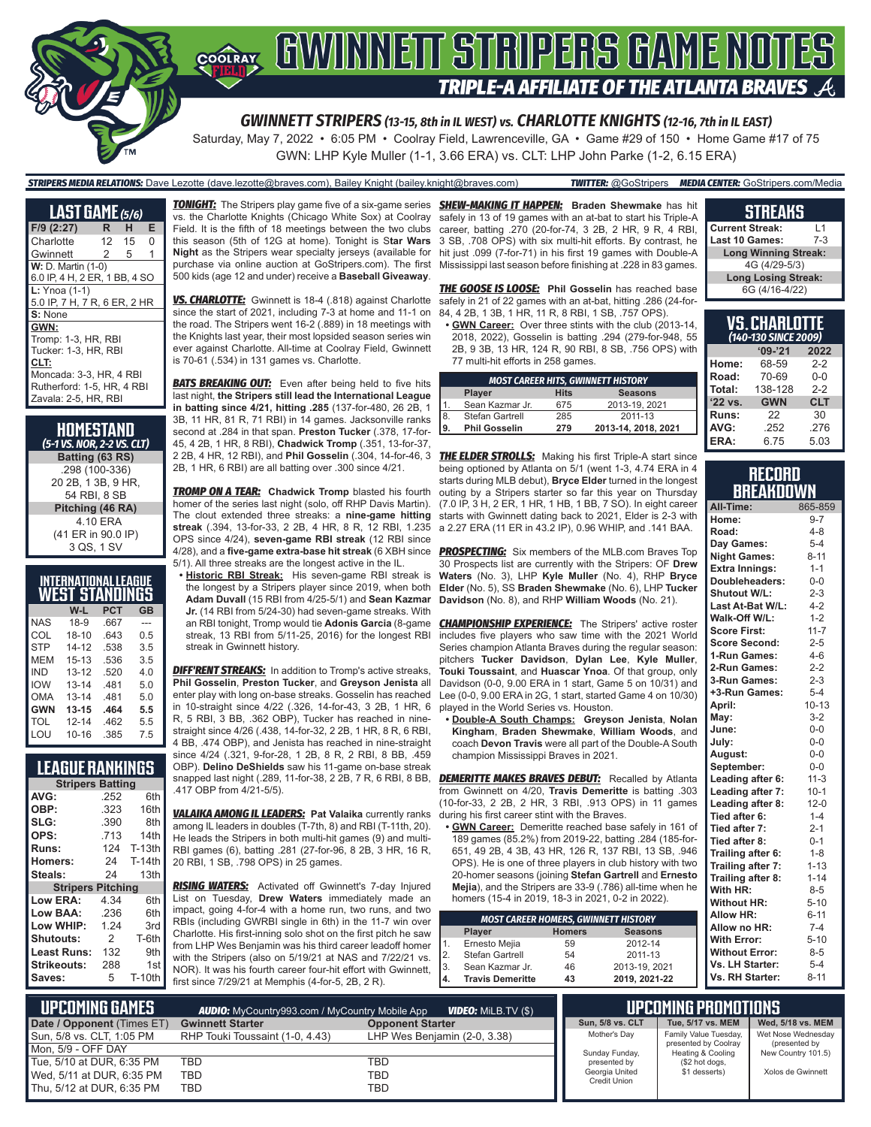

Saturday, May 7, 2022 • 6:05 PM • Coolray Field, Lawrenceville, GA • Game #29 of 150 • Home Game #17 of 75 GWN: LHP Kyle Muller (1-1, 3.66 ERA) vs. CLT: LHP John Parke (1-2, 6.15 ERA)

#### *STRIPERS MEDIA RELATIONS:* Dave Lezotte (dave.lezotte@braves.com), Bailey Knight (bailey.knight@braves.com) *TWITTER:* @GoStripers *MEDIA CENTER:* GoStripers.com/Media

**LAST GAME** *(5/6)* **F/9 (2:27) R H E** Charlotte Gwinnett 2 5 1 **W: D. Martin (1-0)** 6.0 IP, 4 H, 2 ER, 1 BB, 4 SO **L:** Ynoa (1-1) 5.0 IP, 7 H, 7 R, 6 ER, 2 HR **S:** None **GWN:** Tromp: 1-3, HR, RBI Tucker: 1-3, HR, RBI **CLT:** Moncada: 3-3, HR, 4 RBI Rutherford: 1-5, HR, 4 RBI Zavala: 2-5, HR, RBI

#### **HOMESTAND** *(5-1 VS. NOR, 2-2 VS. CLT)* **Batting (63 RS)** .298 (100-336) 20 2B, 1 3B, 9 HR, 54 RBI, 8 SB **Pitching (46 RA)** 4.10 ERA (41 ER in 90.0 IP) 3 QS, 1 SV

|            | INTERNATIONAL LEAGUE<br><b>WEST STANDINGS</b> |      |     |
|------------|-----------------------------------------------|------|-----|
|            | W-L                                           | PCT  | GB  |
| <b>NAS</b> | 18-9                                          | .667 |     |
| COL        | $18 - 10$                                     | 643  | 0.5 |
| <b>STP</b> | 14-12                                         | .538 | 3.5 |
| MEM        | $15 - 13$                                     | .536 | 3.5 |
| IND        | $13 - 12$                                     | .520 | 4.0 |
| <b>IOW</b> | $13 - 14$                                     | .481 | 5.0 |
| OMA        | $13 - 14$                                     | .481 | 5.0 |
| <b>GWN</b> | $13 - 15$                                     | .464 | 5.5 |
| TOL        | $12 - 14$                                     | .462 | 5.5 |
| LOU        | $10 - 16$                                     | .385 | 75  |

## **LEAGUE RANKINGS**

| <b>Stripers Batting</b>  |               |               |  |  |  |
|--------------------------|---------------|---------------|--|--|--|
| AVG:                     | .252          | 6th           |  |  |  |
| OBP:                     | .323          | 16th          |  |  |  |
| SLG:                     | .390          | 8th           |  |  |  |
| OPS:                     | .713          | 14th          |  |  |  |
| <b>Runs:</b>             | 124           | $T-13th$      |  |  |  |
| <b>Homers:</b>           | 24            | <b>T-14th</b> |  |  |  |
| Steals:                  | 24            | 13th          |  |  |  |
| <b>Stripers Pitching</b> |               |               |  |  |  |
| <b>Low ERA:</b>          | 4.34          | 6th           |  |  |  |
| Low BAA:                 | .236          | 6th           |  |  |  |
| Low WHIP:                | 1.24          | 3rd           |  |  |  |
| <b>Shutouts:</b>         | $\mathcal{P}$ | T-6th         |  |  |  |
| Least Runs:              | 132           | 9th           |  |  |  |
| Strikeouts:              | 288           | 1st           |  |  |  |
| Saves:                   | 5             | <b>T-10th</b> |  |  |  |

*TONIGHT:* The Stripers play game five of a six-game series *SHEW-MAKING IT HAPPEN:* **Braden Shewmake** has hit vs. the Charlotte Knights (Chicago White Sox) at Coolray Field. It is the fifth of 18 meetings between the two clubs this season (5th of 12G at home). Tonight is S**tar Wars Night** as the Stripers wear specialty jerseys (available for purchase via online auction at GoStripers.com). The first 500 kids (age 12 and under) receive a **Baseball Giveaway**.

*VS. CHARLOTTE:* Gwinnett is 18-4 (.818) against Charlotte since the start of 2021, including 7-3 at home and 11-1 on the road. The Stripers went 16-2 (.889) in 18 meetings with the Knights last year, their most lopsided season series win ever against Charlotte. All-time at Coolray Field, Gwinnett is 70-61 (.534) in 131 games vs. Charlotte.

**BATS BREAKING OUT:** Even after being held to five hits last night, **the Stripers still lead the International League in batting since 4/21, hitting .285** (137-for-480, 26 2B, 1 3B, 11 HR, 81 R, 71 RBI) in 14 games. Jacksonville ranks second at .284 in that span. **Preston Tucker** (.378, 17-for-45, 4 2B, 1 HR, 8 RBI), **Chadwick Tromp** (.351, 13-for-37, 2 2B, 4 HR, 12 RBI), and **Phil Gosselin** (.304, 14-for-46, 3 *THE ELDER STROLLS:* Making his first Triple-A start since 2B, 1 HR, 6 RBI) are all batting over .300 since 4/21.

*TROMP ON A TEAR:* **Chadwick Tromp** blasted his fourth homer of the series last night (solo, off RHP Davis Martin). The clout extended three streaks: a **nine-game hitting streak** (.394, 13-for-33, 2 2B, 4 HR, 8 R, 12 RBI, 1.235 OPS since 4/24), **seven-game RBI streak** (12 RBI since 4/28), and a **five-game extra-base hit streak** (6 XBH since 5/1). All three streaks are the longest active in the IL.

**• Historic RBI Streak:** His seven-game RBI streak is the longest by a Stripers player since 2019, when both **Adam Duvall** (15 RBI from 4/25-5/1) and **Sean Kazmar Jr.** (14 RBI from 5/24-30) had seven-game streaks. With an RBI tonight, Tromp would tie **Adonis Garcia** (8-game streak, 13 RBI from 5/11-25, 2016) for the longest RBI streak in Gwinnett history.

**DIFF'RENT STREAKS:** In addition to Tromp's active streaks, **Phil Gosselin**, **Preston Tucker**, and **Greyson Jenista** all enter play with long on-base streaks. Gosselin has reached in 10-straight since 4/22 (.326, 14-for-43, 3 2B, 1 HR, 6 R, 5 RBI, 3 BB, .362 OBP), Tucker has reached in ninestraight since 4/26 (.438, 14-for-32, 2 2B, 1 HR, 8 R, 6 RBI, 4 BB, .474 OBP), and Jenista has reached in nine-straight since 4/24 (.321, 9-for-28, 1 2B, 8 R, 2 RBI, 8 BB, .459

OBP). **Delino DeShields** saw his 11-game on-base streak snapped last night (.289, 11-for-38, 2 2B, 7 R, 6 RBI, 8 BB, .417 OBP from 4/21-5/5).

*VALAIKA AMONG IL LEADERS:* **Pat Valaika** currently ranks among IL leaders in doubles (T-7th, 8) and RBI (T-11th, 20). He leads the Stripers in both multi-hit games (9) and multi-RBI games (6), batting .281 (27-for-96, 8 2B, 3 HR, 16 R, 20 RBI, 1 SB, .798 OPS) in 25 games.

*RISING WATERS:* Activated off Gwinnett's 7-day Injured List on Tuesday, **Drew Waters** immediately made an impact, going 4-for-4 with a home run, two runs, and two RBIs (including GWRBI single in 6th) in the 11-7 win over Charlotte. His first-inning solo shot on the first pitch he saw from LHP Wes Benjamin was his third career leadoff homer with the Stripers (also on 5/19/21 at NAS and 7/22/21 vs. NOR). It was his fourth career four-hit effort with Gwinnett, first since 7/29/21 at Memphis (4-for-5, 2B, 2 R).

safely in 13 of 19 games with an at-bat to start his Triple-A career, batting .270 (20-for-74, 3 2B, 2 HR, 9 R, 4 RBI, 3 SB, .708 OPS) with six multi-hit efforts. By contrast, he hit just .099 (7-for-71) in his first 19 games with Double-A Mississippi last season before finishing at .228 in 83 games.

*THE GOOSE IS LOOSE:* **Phil Gosselin** has reached base safely in 21 of 22 games with an at-bat, hitting .286 (24-for-84, 4 2B, 1 3B, 1 HR, 11 R, 8 RBI, 1 SB, .757 OPS).

**• GWN Career:** Over three stints with the club (2013-14, 2018, 2022), Gosselin is batting .294 (279-for-948, 55 2B, 9 3B, 13 HR, 124 R, 90 RBI, 8 SB, .756 OPS) with 77 multi-hit efforts in 258 games.

| <b>MOST CAREER HITS, GWINNETT HISTORY</b> |                      |             |                     |  |  |  |  |
|-------------------------------------------|----------------------|-------------|---------------------|--|--|--|--|
|                                           | <b>Player</b>        | <b>Hits</b> | <b>Seasons</b>      |  |  |  |  |
| $^{\circ}$ 1.                             | Sean Kazmar Jr.      | 675         | 2013-19, 2021       |  |  |  |  |
| 8                                         | Stefan Gartrell      | 285         | 2011-13             |  |  |  |  |
| 9.                                        | <b>Phil Gosselin</b> | 279         | 2013-14, 2018, 2021 |  |  |  |  |

being optioned by Atlanta on 5/1 (went 1-3, 4.74 ERA in 4 starts during MLB debut), **Bryce Elder** turned in the longest outing by a Stripers starter so far this year on Thursday (7.0 IP, 3 H, 2 ER, 1 HR, 1 HB, 1 BB, 7 SO). In eight career starts with Gwinnett dating back to 2021, Elder is 2-3 with a 2.27 ERA (11 ER in 43.2 IP), 0.96 WHIP, and .141 BAA.

**PROSPECTING:** Six members of the MLB.com Braves Top 30 Prospects list are currently with the Stripers: OF **Drew Waters** (No. 3), LHP **Kyle Muller** (No. 4), RHP **Bryce Elder** (No. 5), SS **Braden Shewmake** (No. 6), LHP **Tucker Davidson** (No. 8), and RHP **William Woods** (No. 21).

**CHAMPIONSHIP EXPERIENCE:** The Stripers' active roster includes five players who saw time with the 2021 World Series champion Atlanta Braves during the regular season: pitchers **Tucker Davidson**, **Dylan Lee**, **Kyle Muller**, **Touki Toussaint**, and **Huascar Ynoa**. Of that group, only Davidson (0-0, 9.00 ERA in 1 start, Game 5 on 10/31) and Lee (0-0, 9.00 ERA in 2G, 1 start, started Game 4 on 10/30) played in the World Series vs. Houston.

**• Double-A South Champs: Greyson Jenista**, **Nolan Kingham**, **Braden Shewmake**, **William Woods**, and coach **Devon Travis** were all part of the Double-A South champion Mississippi Braves in 2021.

*DEMERITTE MAKES BRAVES DEBUT:* Recalled by Atlanta from Gwinnett on 4/20, **Travis Demeritte** is batting .303 (10-for-33, 2 2B, 2 HR, 3 RBI, .913 OPS) in 11 games during his first career stint with the Braves.

**• GWN Career:** Demeritte reached base safely in 161 of 189 games (85.2%) from 2019-22, batting .284 (185-for-651, 49 2B, 4 3B, 43 HR, 126 R, 137 RBI, 13 SB, .946 OPS). He is one of three players in club history with two 20-homer seasons (joining **Stefan Gartrell** and **Ernesto Mejia**), and the Stripers are 33-9 (.786) all-time when he homers (15-4 in 2019, 18-3 in 2021, 0-2 in 2022).

| <b>MOST CAREER HOMERS, GWINNETT HISTORY</b> |                         |               |                |  |  |  |  |
|---------------------------------------------|-------------------------|---------------|----------------|--|--|--|--|
|                                             | Player                  | <b>Homers</b> | <b>Seasons</b> |  |  |  |  |
| 1.                                          | Ernesto Mejia           | 59            | 2012-14        |  |  |  |  |
| 2.                                          | Stefan Gartrell         | 54            | 2011-13        |  |  |  |  |
| 3.                                          | Sean Kazmar Jr.         | 46            | 2013-19, 2021  |  |  |  |  |
| 4.                                          | <b>Travis Demeritte</b> | 43            | 2019, 2021-22  |  |  |  |  |

#### **STREAKS**

| <b>Current Streak:</b>      | l 1   |  |  |  |
|-----------------------------|-------|--|--|--|
| <b>Last 10 Games:</b>       | $7-3$ |  |  |  |
| <b>Long Winning Streak:</b> |       |  |  |  |
| 4G (4/29-5/3)               |       |  |  |  |
| <b>Long Losing Streak:</b>  |       |  |  |  |
| 6G (4/16-4/22)              |       |  |  |  |

| VS.CHARLOTTE<br>(140-130 SINCE 2009) |            |            |  |  |  |  |
|--------------------------------------|------------|------------|--|--|--|--|
| $9 - 21$<br>2022                     |            |            |  |  |  |  |
| Home:                                | 68-59      | $2 - 2$    |  |  |  |  |
| Road:                                | 70-69      | $0 - 0$    |  |  |  |  |
| Total:                               | 138-128    | $2 - 2$    |  |  |  |  |
| '22 vs.                              | <b>GWN</b> | <b>CLT</b> |  |  |  |  |
| Runs:                                | 22         | 30         |  |  |  |  |
| AVG:                                 | .252       | .276       |  |  |  |  |
| ERA:                                 | 6.75       | 5.03       |  |  |  |  |

#### **RECORD BREAKDOWN**

| All-Time:             | 865-859   |
|-----------------------|-----------|
| Home:                 | $9 - 7$   |
| Road:                 | $4 - 8$   |
| Day Games:            | $5 - 4$   |
| <b>Night Games:</b>   | $8 - 11$  |
| <b>Extra Innings:</b> | $1 - 1$   |
| Doubleheaders:        | $0-0$     |
| Shutout W/L:          | $2 - 3$   |
| Last At-Bat W/L:      | $4 - 2$   |
| Walk-Off W/L:         | $1 - 2$   |
| <b>Score First:</b>   | $11 - 7$  |
| <b>Score Second:</b>  | $2 - 5$   |
| 1-Run Games:          | $4 - 6$   |
| 2-Run Games:          | $2 - 2$   |
| 3-Run Games:          | $2 - 3$   |
| +3-Run Games:         | $5 - 4$   |
| April:                | $10 - 13$ |
| May:                  | $3 - 2$   |
| June:                 | $0-0$     |
| July:                 | $0-0$     |
| August:               | $0-0$     |
| September:            | $0 - 0$   |
| Leading after 6:      | $11-3$    |
| Leading after 7:      | $10-1$    |
| Leading after 8:      | $12 - 0$  |
| Tied after 6:         | $1 - 4$   |
| Tied after 7:         | $2 - 1$   |
| Tied after 8:         | $0 - 1$   |
| Trailing after 6:     | $1 - 8$   |
| Trailing after 7:     | $1 - 13$  |
| Trailing after 8:     | $1 - 14$  |
| With HR:              | $8 - 5$   |
| <b>Without HR:</b>    | $5 - 10$  |
| <b>Allow HR:</b>      | $6 - 11$  |
| Allow no HR:          | $7 - 4$   |
| <b>With Error:</b>    | $5 - 10$  |
| <b>Without Error:</b> | $8 - 5$   |
| Vs. LH Starter:       | $5 - 4$   |
| Vs. RH Starter:       | $8 - 11$  |

| I UPCOMING GAMES '         | <b>AUDIO:</b> MyCountry993.com / MyCountry Mobile App | <b>UPCOMING PROMOTIONS</b>   |                                       |                                           |                                     |
|----------------------------|-------------------------------------------------------|------------------------------|---------------------------------------|-------------------------------------------|-------------------------------------|
| Date / Opponent (Times ET) | <b>Gwinnett Starter</b>                               | <b>Opponent Starter</b>      | <b>Sun. 5/8 vs. CLT</b>               | Tue, 5/17 vs. MEM                         | Wed. 5/18 vs. MEM                   |
| Sun, 5/8 vs. CLT, 1:05 PM  | RHP Touki Toussaint (1-0, 4.43)                       | LHP Wes Beniamin (2-0, 3.38) | Mother's Day                          | Family Value Tuesday,                     | Wet Nose Wednesday                  |
| Mon. 5/9 - OFF DAY         |                                                       |                              | Sunday Funday,                        | presented by Coolray<br>Heating & Cooling | (presented by<br>New Country 101.5) |
| Tue. 5/10 at DUR. 6:35 PM  | TBD                                                   | TBD                          | presented by                          | (\$2 hot dogs,                            |                                     |
| Wed, 5/11 at DUR, 6:35 PM  | <b>TBD</b>                                            | TBD                          | Georgia United<br><b>Credit Union</b> | \$1 desserts)                             | Xolos de Gwinnett                   |
| Thu. 5/12 at DUR. 6:35 PM  | TBD                                                   | TBD                          |                                       |                                           |                                     |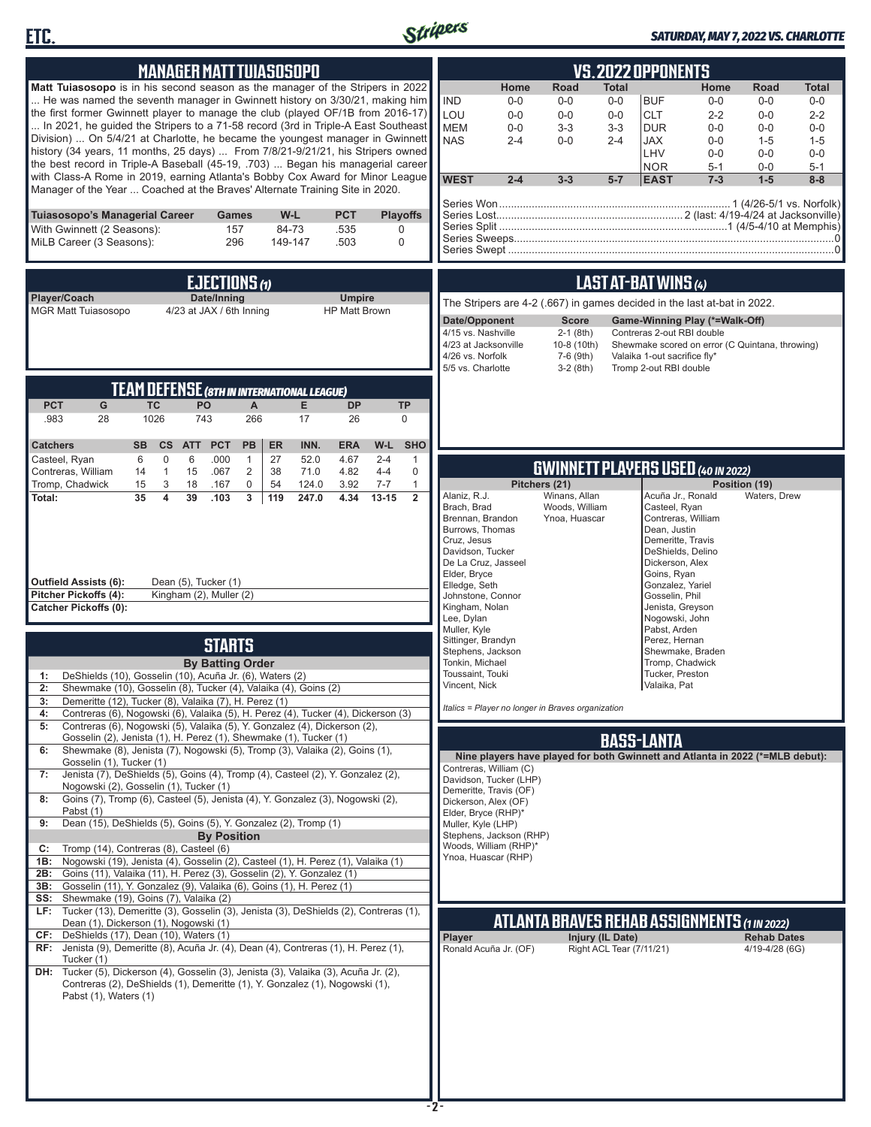



#### *SATURDAY, MAY 7, 2022 VS. CHARLOTTE*

| <b>MANAGER MATT TUIASOSOPO</b>                                                                                                                                                                                                                                                                                                                                                                                                                                                                                                                                                                                                                                                                                                                                                                                                                                                                                                                                                                                                                                                                                                                                                                                                                                                                                                                                                                                                                                                                                                                                                                                                                                                                                                                                                                                                                                                                                                                                                                                                                                                                                                                                                                                                                             | VS.2022 OPPONENTS                                                                                                                                                                                                                                                                                                                                                                                                                                                                                                                                                                                                                                                                                                                                                                                                                                                                                                                                                                                                                                                                                                                                                                                                                                                                                                                                                                                                         |
|------------------------------------------------------------------------------------------------------------------------------------------------------------------------------------------------------------------------------------------------------------------------------------------------------------------------------------------------------------------------------------------------------------------------------------------------------------------------------------------------------------------------------------------------------------------------------------------------------------------------------------------------------------------------------------------------------------------------------------------------------------------------------------------------------------------------------------------------------------------------------------------------------------------------------------------------------------------------------------------------------------------------------------------------------------------------------------------------------------------------------------------------------------------------------------------------------------------------------------------------------------------------------------------------------------------------------------------------------------------------------------------------------------------------------------------------------------------------------------------------------------------------------------------------------------------------------------------------------------------------------------------------------------------------------------------------------------------------------------------------------------------------------------------------------------------------------------------------------------------------------------------------------------------------------------------------------------------------------------------------------------------------------------------------------------------------------------------------------------------------------------------------------------------------------------------------------------------------------------------------------------|---------------------------------------------------------------------------------------------------------------------------------------------------------------------------------------------------------------------------------------------------------------------------------------------------------------------------------------------------------------------------------------------------------------------------------------------------------------------------------------------------------------------------------------------------------------------------------------------------------------------------------------------------------------------------------------------------------------------------------------------------------------------------------------------------------------------------------------------------------------------------------------------------------------------------------------------------------------------------------------------------------------------------------------------------------------------------------------------------------------------------------------------------------------------------------------------------------------------------------------------------------------------------------------------------------------------------------------------------------------------------------------------------------------------------|
| Matt Tuiasosopo is in his second season as the manager of the Stripers in 2022<br>He was named the seventh manager in Gwinnett history on 3/30/21, making him<br>the first former Gwinnett player to manage the club (played OF/1B from 2016-17)<br>In 2021, he guided the Stripers to a 71-58 record (3rd in Triple-A East Southeast<br>Division)  On 5/4/21 at Charlotte, he became the youngest manager in Gwinnett<br>history (34 years, 11 months, 25 days)  From 7/8/21-9/21/21, his Stripers owned<br>the best record in Triple-A Baseball (45-19, .703)  Began his managerial career<br>with Class-A Rome in 2019, earning Atlanta's Bobby Cox Award for Minor League<br>Manager of the Year  Coached at the Braves' Alternate Training Site in 2020.                                                                                                                                                                                                                                                                                                                                                                                                                                                                                                                                                                                                                                                                                                                                                                                                                                                                                                                                                                                                                                                                                                                                                                                                                                                                                                                                                                                                                                                                                              | Home<br>Road<br>Total<br>Home<br><b>Total</b><br>Road<br><b>IND</b><br>$0-0$<br><b>BUF</b><br>$0-0$<br>$0-0$<br>$0-0$<br>$0-0$<br>$0-0$<br><b>CLT</b><br>LOU<br>$0-0$<br>$0-0$<br>$0-0$<br>$2 - 2$<br>$0-0$<br>$2 - 2$<br><b>MEM</b><br>$3 - 3$<br>$3-3$<br><b>DUR</b><br>$0-0$<br>$0-0$<br>$0 - 0$<br>$0-0$<br><b>NAS</b><br>$0-0$<br>$2 - 4$<br><b>JAX</b><br>$2 - 4$<br>$0-0$<br>$1 - 5$<br>$1 - 5$<br>LHV<br>$0 - 0$<br>$0 - 0$<br>$0-0$<br><b>NOR</b><br>$5 - 1$<br>$0-0$<br>$5 - 1$<br><b>WEST</b><br>$2 - 4$<br>$3 - 3$<br>$1 - 5$<br>$8 - 8$<br>$5-7$<br><b>EAST</b><br>$7 - 3$                                                                                                                                                                                                                                                                                                                                                                                                                                                                                                                                                                                                                                                                                                                                                                                                                                   |
| Tuiasosopo's Managerial Career<br>W-L<br><b>PCT</b><br><b>Playoffs</b><br><b>Games</b><br>With Gwinnett (2 Seasons):<br>157<br>84-73<br>.535<br>0<br>MiLB Career (3 Seasons):<br>296<br>149-147<br>.503<br>0                                                                                                                                                                                                                                                                                                                                                                                                                                                                                                                                                                                                                                                                                                                                                                                                                                                                                                                                                                                                                                                                                                                                                                                                                                                                                                                                                                                                                                                                                                                                                                                                                                                                                                                                                                                                                                                                                                                                                                                                                                               |                                                                                                                                                                                                                                                                                                                                                                                                                                                                                                                                                                                                                                                                                                                                                                                                                                                                                                                                                                                                                                                                                                                                                                                                                                                                                                                                                                                                                           |
| <b>EJECTIONS (1)</b><br>Player/Coach<br>Date/Inning<br><b>Umpire</b><br><b>MGR Matt Tuiasosopo</b><br>4/23 at JAX / 6th Inning<br><b>HP Matt Brown</b>                                                                                                                                                                                                                                                                                                                                                                                                                                                                                                                                                                                                                                                                                                                                                                                                                                                                                                                                                                                                                                                                                                                                                                                                                                                                                                                                                                                                                                                                                                                                                                                                                                                                                                                                                                                                                                                                                                                                                                                                                                                                                                     | LAST AT-BAT WINS (4)<br>The Stripers are 4-2 (.667) in games decided in the last at-bat in 2022.<br>Date/Opponent<br><b>Score</b><br>Game-Winning Play (*=Walk-Off)<br>4/15 vs. Nashville<br>$2-1$ (8th)<br>Contreras 2-out RBI double<br>10-8 (10th)<br>4/23 at Jacksonville<br>Shewmake scored on error (C Quintana, throwing)<br>4/26 vs. Norfolk<br>7-6 (9th)<br>Valaika 1-out sacrifice fly*<br>5/5 vs. Charlotte<br>Tromp 2-out RBI double<br>$3-2(8th)$                                                                                                                                                                                                                                                                                                                                                                                                                                                                                                                                                                                                                                                                                                                                                                                                                                                                                                                                                            |
| <b>TEAM DEFENSE (8TH IN INTERNATIONAL LEAGUE)</b><br><b>TC</b><br>PO<br><b>PCT</b><br>G<br>$\mathsf{A}$<br>E<br><b>DP</b><br><b>TP</b><br>1026<br>743<br>266<br>.983<br>28<br>17<br>26<br>$\mathbf 0$<br><b>ERA</b><br>W-L<br><b>SHO</b><br><b>Catchers</b><br><b>SB</b><br><b>CS</b><br><b>PCT</b><br><b>PB</b><br>ER<br>INN.<br><b>ATT</b><br>Casteel, Ryan<br>$\mathbf 0$<br>6<br>.000<br>27<br>52.0<br>4.67<br>$2 - 4$<br>$\mathbf{1}$<br>6<br>$\mathbf{1}$                                                                                                                                                                                                                                                                                                                                                                                                                                                                                                                                                                                                                                                                                                                                                                                                                                                                                                                                                                                                                                                                                                                                                                                                                                                                                                                                                                                                                                                                                                                                                                                                                                                                                                                                                                                            |                                                                                                                                                                                                                                                                                                                                                                                                                                                                                                                                                                                                                                                                                                                                                                                                                                                                                                                                                                                                                                                                                                                                                                                                                                                                                                                                                                                                                           |
| $\mathbf{1}$<br>15<br>.067<br>2<br>38<br>71.0<br>4.82<br>$4 - 4$<br>0<br>Contreras, William<br>14<br>Tromp, Chadwick<br>3<br>0<br>15<br>18<br>.167<br>54<br>124.0<br>3.92<br>$7 - 7$<br>$\mathbf{1}$<br>35<br>4<br>39<br>.103<br>119<br>4.34<br>$13 - 15$<br>$\overline{2}$<br>Total:<br>3<br>247.0<br>Outfield Assists (6):<br>Dean (5), Tucker (1)<br>Pitcher Pickoffs (4):<br>Kingham (2), Muller (2)<br><b>Catcher Pickoffs (0):</b><br><b>STARTS</b><br><b>By Batting Order</b><br>DeShields (10), Gosselin (10), Acuña Jr. (6), Waters (2)<br>1:<br>Shewmake (10), Gosselin (8), Tucker (4), Valaika (4), Goins (2)<br>2:<br>Demeritte (12), Tucker (8), Valaika (7), H. Perez (1)<br>3:<br>Contreras (6), Nogowski (6), Valaika (5), H. Perez (4), Tucker (4), Dickerson (3)<br>4:<br>Contreras (6), Nogowski (5), Valaika (5), Y. Gonzalez (4), Dickerson (2),<br>5:<br>Gosselin (2), Jenista (1), H. Perez (1), Shewmake (1), Tucker (1)<br>Shewmake (8), Jenista (7), Nogowski (5), Tromp (3), Valaika (2), Goins (1),<br>6:<br>Gosselin (1), Tucker (1)<br>Jenista (7), DeShields (5), Goins (4), Tromp (4), Casteel (2), Y. Gonzalez (2),<br>7:<br>Nogowski (2), Gosselin (1), Tucker (1)<br>Goins (7), Tromp (6), Casteel (5), Jenista (4), Y. Gonzalez (3), Nogowski (2),<br>8:<br>Pabst (1)<br>Dean (15), DeShields (5), Goins (5), Y. Gonzalez (2), Tromp (1)<br>9:<br><b>By Position</b><br>Tromp (14), Contreras (8), Casteel (6)<br>C:<br>Nogowski (19), Jenista (4), Gosselin (2), Casteel (1), H. Perez (1), Valaika (1)<br>1B:<br>Goins (11), Valaika (11), H. Perez (3), Gosselin (2), Y. Gonzalez (1)<br>2B:<br>Gosselin (11), Y. Gonzalez (9), Valaika (6), Goins (1), H. Perez (1)<br>3B:<br>SS: Shewmake (19), Goins (7), Valaika (2)<br>LF: Tucker (13), Demeritte (3), Gosselin (3), Jenista (3), DeShields (2), Contreras (1),<br>Dean (1), Dickerson (1), Nogowski (1)<br>CF: DeShields (17), Dean (10), Waters (1)<br>RF: Jenista (9), Demeritte (8), Acuña Jr. (4), Dean (4), Contreras (1), H. Perez (1),<br>Tucker (1)<br>DH: Tucker (5), Dickerson (4), Gosselin (3), Jenista (3), Valaika (3), Acuña Jr. (2),<br>Contreras (2), DeShields (1), Demeritte (1), Y. Gonzalez (1), Nogowski (1),<br>Pabst (1), Waters (1) | <b>GWINNETT PLAYERS USED (40 IN 2022)</b><br>Pitchers (21)<br>Position (19)<br>Alaniz, R.J.<br>Winans, Allan<br>Acuña Jr., Ronald<br>Waters, Drew<br>Brach, Brad<br>Woods, William<br>Casteel, Ryan<br>Contreras, William<br>Brennan, Brandon<br>Ynoa, Huascar<br>Burrows, Thomas<br>Dean, Justin<br>Cruz, Jesus<br>Demeritte, Travis<br>Davidson, Tucker<br>DeShields, Delino<br>De La Cruz, Jasseel<br>Dickerson, Alex<br>Elder, Bryce<br>Goins, Ryan<br>Elledge, Seth<br>Gonzalez, Yariel<br>Johnstone, Connor<br>Gosselin, Phil<br>Kingham, Nolan<br>Jenista, Greyson<br>Lee, Dylan<br>Nogowski, John<br>Muller, Kyle<br>Pabst, Arden<br>Sittinger, Brandyn<br>Perez, Hernan<br>Stephens, Jackson<br>Shewmake, Braden<br>Tonkin, Michael<br>Tromp, Chadwick<br>Tucker, Preston<br>Toussaint, Touki<br>Vincent, Nick<br>Valaika, Pat<br>Italics = Player no longer in Braves organization<br><b>BASS-LANTA</b><br>Nine players have played for both Gwinnett and Atlanta in 2022 (*=MLB debut):<br>Contreras, William (C)<br>Davidson, Tucker (LHP)<br>Demeritte, Travis (OF)<br>Dickerson, Alex (OF)<br>Elder, Bryce (RHP)*<br>Muller, Kyle (LHP)<br>Stephens, Jackson (RHP)<br>Woods, William (RHP)*<br>Ynoa, Huascar (RHP)<br><b>ATLANTA BRAVES REHAB ASSIGNMENTS (1 IN 2022)</b><br>Player<br>Injury (IL Date)<br><b>Rehab Dates</b><br>Ronald Acuña Jr. (OF)<br>Right ACL Tear (7/11/21)<br>4/19-4/28 (6G)<br>-2- |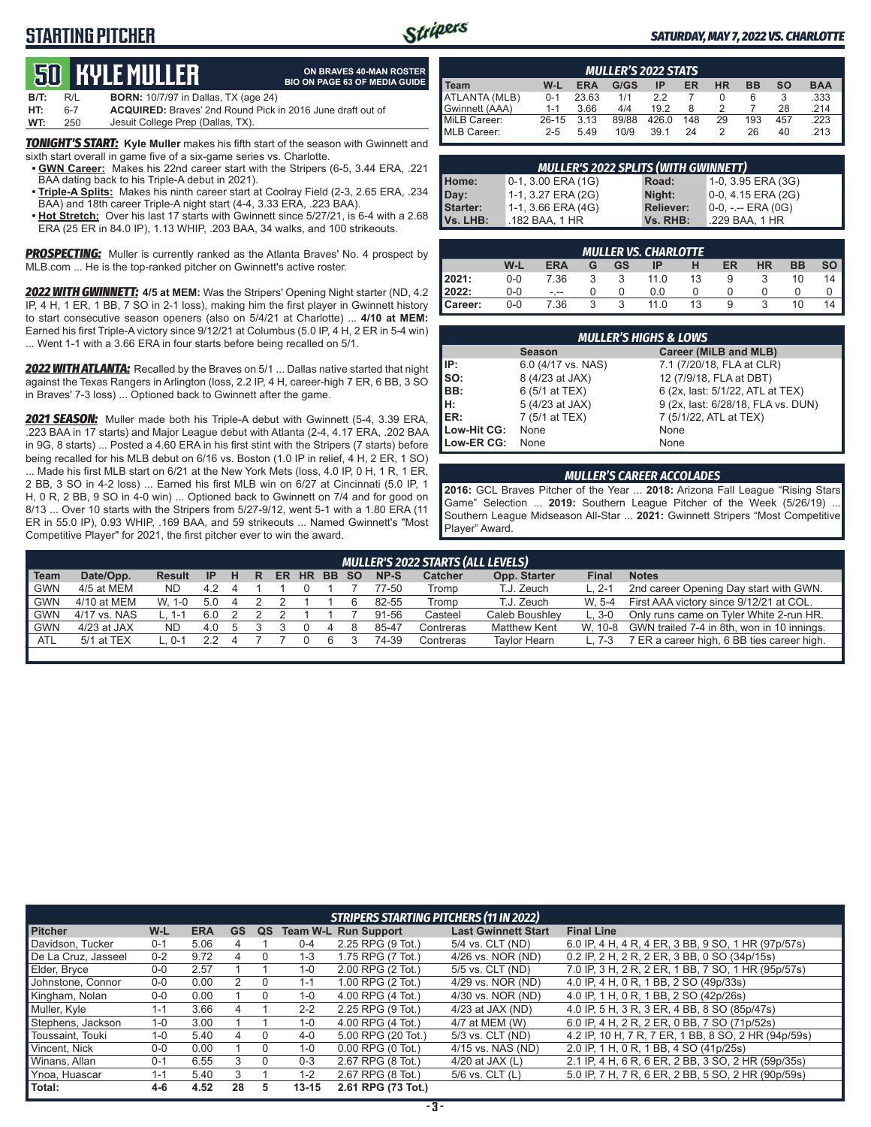# **STARTING PITCHER**



**ON BRAVES 40-MAN ROSTER**

#### *SATURDAY, MAY 7, 2022 VS. CHARLOTTE*

# **50****KYLE Muller**

|      |     | <b>QU HIYLL MULLLII</b>                                           | <b>BIO ON PAGE 63 OF MEDIA GUIDE</b> |
|------|-----|-------------------------------------------------------------------|--------------------------------------|
| B/T: | R/L | <b>BORN:</b> 10/7/97 in Dallas, TX (age 24)                       |                                      |
| HT:  | հ-7 | <b>ACQUIRED:</b> Braves' 2nd Round Pick in 2016 June draft out of |                                      |
| WT:  | 250 | Jesuit College Prep (Dallas, TX).                                 |                                      |

*TONIGHT'S START:* **Kyle Muller** makes his fifth start of the season with Gwinnett and sixth start overall in game five of a six-game series vs. Charlotte.

- **• GWN Career:** Makes his 22nd career start with the Stripers (6-5, 3.44 ERA, .221 BAA dating back to his Triple-A debut in 2021).
- **• Triple-A Splits:** Makes his ninth career start at Coolray Field (2-3, 2.65 ERA, .234 BAA) and 18th career Triple-A night start (4-4, 3.33 ERA, .223 BAA).
- **• Hot Stretch:** Over his last 17 starts with Gwinnett since 5/27/21, is 6-4 with a 2.68 ERA (25 ER in 84.0 IP), 1.13 WHIP, .203 BAA, 34 walks, and 100 strikeouts.

**PROSPECTING:** Muller is currently ranked as the Atlanta Braves' No. 4 prospect by MLB.com ... He is the top-ranked pitcher on Gwinnett's active roster.

*2022 WITH GWINNETT:* **4/5 at MEM:** Was the Stripers' Opening Night starter (ND, 4.2 IP, 4 H, 1 ER, 1 BB, 7 SO in 2-1 loss), making him the first player in Gwinnett history to start consecutive season openers (also on 5/4/21 at Charlotte) ... **4/10 at MEM:** Earned his first Triple-A victory since 9/12/21 at Columbus (5.0 IP, 4 H, 2 ER in 5-4 win) ... Went 1-1 with a 3.66 ERA in four starts before being recalled on 5/1.

*2022 WITH ATLANTA:* Recalled by the Braves on 5/1 ... Dallas native started that night against the Texas Rangers in Arlington (loss, 2.2 IP, 4 H, career-high 7 ER, 6 BB, 3 SO in Braves' 7-3 loss) ... Optioned back to Gwinnett after the game.

*2021 SEASON:* Muller made both his Triple-A debut with Gwinnett (5-4, 3.39 ERA, .223 BAA in 17 starts) and Major League debut with Atlanta (2-4, 4.17 ERA, .202 BAA in 9G, 8 starts) ... Posted a 4.60 ERA in his first stint with the Stripers (7 starts) before being recalled for his MLB debut on 6/16 vs. Boston (1.0 IP in relief, 4 H, 2 ER, 1 SO) ... Made his first MLB start on 6/21 at the New York Mets (loss, 4.0 IP, 0 H, 1 R, 1 ER, 2 BB, 3 SO in 4-2 loss) ... Earned his first MLB win on 6/27 at Cincinnati (5.0 IP, 1 H, 0 R, 2 BB, 9 SO in 4-0 win) ... Optioned back to Gwinnett on 7/4 and for good on 8/13 ... Over 10 starts with the Stripers from 5/27-9/12, went 5-1 with a 1.80 ERA (11 ER in 55.0 IP), 0.93 WHIP, .169 BAA, and 59 strikeouts ... Named Gwinnett's "Most Competitive Player" for 2021, the first pitcher ever to win the award.

| <b>MULLER'S 2022 STATS</b> |         |            |       |       |     |              |           |           |            |
|----------------------------|---------|------------|-------|-------|-----|--------------|-----------|-----------|------------|
| <b>Team</b>                | W-L     | <b>ERA</b> | G/GS  | ΙP    | ER  | <b>HR</b>    | <b>BB</b> | <b>SO</b> | <b>BAA</b> |
| ATLANTA (MLB)              | $0 - 1$ | 23.63      | 1/1   | 22    |     | $\mathbf{r}$ | 6         |           | .333       |
| Gwinnett (AAA)             | $1 - 1$ | 3.66       | 4/4   | 19.2  |     |              |           | 28        | .214       |
| MiLB Career:               | $26-15$ | 3.13       | 89/88 | 426.0 | 148 | 29           | 193       | 457       | .223       |
| MLB Career:                | $2 - 5$ | 5.49       | 10/9  | 39.1  | 24  |              | 26        | 40        | .213       |

| <b>MULLER'S 2022 SPLITS (WITH GWINNETT)</b> |                       |                  |                       |  |  |  |
|---------------------------------------------|-----------------------|------------------|-----------------------|--|--|--|
| Home:                                       | $0-1$ , 3.00 ERA (1G) | Road:            | 1-0, 3.95 ERA (3G)    |  |  |  |
| Day:                                        | 1-1, 3.27 ERA (2G)    | Night:           | $0-0$ , 4.15 ERA (2G) |  |  |  |
| <b>Starter:</b>                             | 1-1, 3.66 ERA (4G)    | <b>Reliever:</b> | $0-0, - -$ ERA (0G)   |  |  |  |
| Vs. LHB:                                    | .182 BAA, 1 HR        | Vs. RHB:         | .229 BAA, 1 HR        |  |  |  |

|         | <b>MULLER VS. CHARLOTTE</b> |            |   |    |      |    |    |           |           |      |  |  |  |
|---------|-----------------------------|------------|---|----|------|----|----|-----------|-----------|------|--|--|--|
|         | W-L                         | <b>ERA</b> | G | GS | IP   |    | ER | <b>HR</b> | <b>BB</b> | so I |  |  |  |
| 2021:   | $0 - 0$                     | 7.36       |   |    | 11.0 | 13 | 9  |           | 10        | 14   |  |  |  |
| 2022:   | 0-0                         | - --       |   |    | 0.0  |    |    |           |           |      |  |  |  |
| Career: | 0-0                         | 7.36       |   | հ  | 11.0 | 13 | 9  |           | 10        |      |  |  |  |

|             | <b>MULLER'S HIGHS &amp; LOWS</b>       |                                    |  |  |  |  |  |  |  |  |  |  |
|-------------|----------------------------------------|------------------------------------|--|--|--|--|--|--|--|--|--|--|
|             | Career (MiLB and MLB)<br><b>Season</b> |                                    |  |  |  |  |  |  |  |  |  |  |
| IP:         | 6.0 (4/17 vs. NAS)                     | 7.1 (7/20/18, FLA at CLR)          |  |  |  |  |  |  |  |  |  |  |
| $\vert$ so: | 8 (4/23 at JAX)                        | 12 (7/9/18, FLA at DBT)            |  |  |  |  |  |  |  |  |  |  |
| BB:         | 6 (5/1 at TEX)                         | 6 (2x, last: 5/1/22, ATL at TEX)   |  |  |  |  |  |  |  |  |  |  |
| H:<br>ER:   | 5 (4/23 at JAX)                        | 9 (2x, last: 6/28/18, FLA vs. DUN) |  |  |  |  |  |  |  |  |  |  |
|             | 7 (5/1 at TEX)                         | 7 (5/1/22, ATL at TEX)             |  |  |  |  |  |  |  |  |  |  |
| Low-Hit CG: | None                                   | None                               |  |  |  |  |  |  |  |  |  |  |
| Low-ER CG:  | None                                   | None                               |  |  |  |  |  |  |  |  |  |  |

#### *MULLER'S CAREER ACCOLADES*

**2016:** GCL Braves Pitcher of the Year ... **2018:** Arizona Fall League "Rising Stars Game" Selection ... **2019:** Southern League Pitcher of the Week (5/26/19) ... Southern League Midseason All-Star ... **2021:** Gwinnett Stripers "Most Competitive Player" Award.

|                                                                                                                                                     | <b>MULLER'S 2022 STARTS (ALL LEVELS)</b> |        |     |  |  |  |  |  |  |       |           |                     |         |                                                    |
|-----------------------------------------------------------------------------------------------------------------------------------------------------|------------------------------------------|--------|-----|--|--|--|--|--|--|-------|-----------|---------------------|---------|----------------------------------------------------|
| Date/Opp.<br>NP-S<br><b>Catcher</b><br>Opp. Starter<br>Final<br><b>Notes</b><br><b>HR</b><br>BB SO<br>н<br>ER.<br><b>Result</b><br>-IP<br>R<br>Team |                                          |        |     |  |  |  |  |  |  |       |           |                     |         |                                                    |
| GWN                                                                                                                                                 | 4/5 at MEM                               | ND.    | 4.2 |  |  |  |  |  |  | 77-50 | Tromp     | T.J. Zeuch          | L. 2-1  | 2nd career Opening Day start with GWN.             |
| <b>GWN</b>                                                                                                                                          | 4/10 at MEM                              | W. 1-0 | 5.0 |  |  |  |  |  |  | 82-55 | Tromp     | T.J. Zeuch          | W. 5-4  | First AAA victory since 9/12/21 at COL.            |
| GWN                                                                                                                                                 | 4/17 vs. NAS                             |        | 6.0 |  |  |  |  |  |  | 91-56 | Casteel   | Caleb Boushley      | $L.3-0$ | Only runs came on Tyler White 2-run HR.            |
| GWN                                                                                                                                                 | $4/23$ at JAX                            | ND.    | 4.0 |  |  |  |  |  |  | 85-47 | Contreras | Matthew Kent        |         | W, 10-8 GWN trailed 7-4 in 8th, won in 10 innings. |
| <b>ATL</b>                                                                                                                                          | 5/1 at TEX                               | በ-1    |     |  |  |  |  |  |  | 74-39 | Contreras | <b>Taylor Hearn</b> | L. 7-3  | 7 ER a career high, 6 BB ties career high.         |
|                                                                                                                                                     |                                          |        |     |  |  |  |  |  |  |       |           |                     |         |                                                    |

|                     |         |            |           |          |           | <b>STRIPERS STARTING PITCHERS (11 IN 2022)</b> |                            |                                                     |
|---------------------|---------|------------|-----------|----------|-----------|------------------------------------------------|----------------------------|-----------------------------------------------------|
| <b>Pitcher</b>      | W-L     | <b>ERA</b> | <b>GS</b> | QS       |           | <b>Team W-L Run Support</b>                    | <b>Last Gwinnett Start</b> | <b>Final Line</b>                                   |
| Davidson, Tucker    | $0 - 1$ | 5.06       |           |          | $0 - 4$   | 2.25 RPG (9 Tot.)                              | 5/4 vs. CLT (ND)           | 6.0 IP, 4 H, 4 R, 4 ER, 3 BB, 9 SO, 1 HR (97p/57s)  |
| De La Cruz, Jasseel | $0 - 2$ | 9.72       |           |          | $1 - 3$   | 1.75 RPG (7 Tot.)                              | 4/26 vs. NOR (ND)          | 0.2 IP, 2 H, 2 R, 2 ER, 3 BB, 0 SO (34p/15s)        |
| Elder, Bryce        | $0-0$   | 2.57       |           |          | 1-0       | 2.00 RPG (2 Tot.)                              | 5/5 vs. CLT (ND)           | 7.0 IP, 3 H, 2 R, 2 ER, 1 BB, 7 SO, 1 HR (95p/57s)  |
| Johnstone, Connor   | $0 - 0$ | 0.00       |           | $\Omega$ | $1 - 1$   | 1.00 RPG (2 Tot.)                              | 4/29 vs. NOR (ND)          | 4.0 IP, 4 H, 0 R, 1 BB, 2 SO (49p/33s)              |
| Kingham, Nolan      | $0 - 0$ | 0.00       |           |          | $1 - 0$   | 4.00 RPG (4 Tot.)                              | 4/30 vs. NOR (ND)          | 4.0 IP, 1 H, 0 R, 1 BB, 2 SO (42p/26s)              |
| Muller, Kyle        | $1 - 1$ | 3.66       | 4         |          | $2 - 2$   | 2.25 RPG (9 Tot.)                              | $4/23$ at JAX (ND)         | 4.0 IP, 5 H, 3 R, 3 ER, 4 BB, 8 SO (85p/47s)        |
| Stephens, Jackson   | $1 - 0$ | 3.00       |           |          | $1 - 0$   | 4.00 RPG (4 Tot.)                              | 4/7 at MEM (W)             | 6.0 IP, 4 H, 2 R, 2 ER, 0 BB, 7 SO (71p/52s)        |
| Toussaint, Touki    | $1 - 0$ | 5.40       |           |          | $4 - 0$   | 5.00 RPG (20 Tot.)                             | 5/3 vs. CLT (ND)           | 4.2 IP, 10 H, 7 R, 7 ER, 1 BB, 8 SO, 2 HR (94p/59s) |
| Vincent, Nick       | $0 - 0$ | 0.00       |           |          | $1 - 0$   | $0.00$ RPG $(0$ Tot.)                          | 4/15 vs. NAS (ND)          | 2.0 IP, 1 H, 0 R, 1 BB, 4 SO (41p/25s)              |
| Winans, Allan       | $0 - 1$ | 6.55       | 3         |          | $0 - 3$   | 2.67 RPG (8 Tot.)                              | 4/20 at JAX $(L)$          | 2.1 IP, 4 H, 6 R, 6 ER, 2 BB, 3 SO, 2 HR (59p/35s)  |
| Ynoa, Huascar       | $1 - 1$ | 5.40       | 3         |          | $1 - 2$   | 2.67 RPG (8 Tot.)                              | $5/6$ vs. CLT $(L)$        | 5.0 IP, 7 H, 7 R, 6 ER, 2 BB, 5 SO, 2 HR (90p/59s)  |
| Total:              | $4-6$   | 4.52       | 28        | 5        | $13 - 15$ | 2.61 RPG (73 Tot.)                             |                            |                                                     |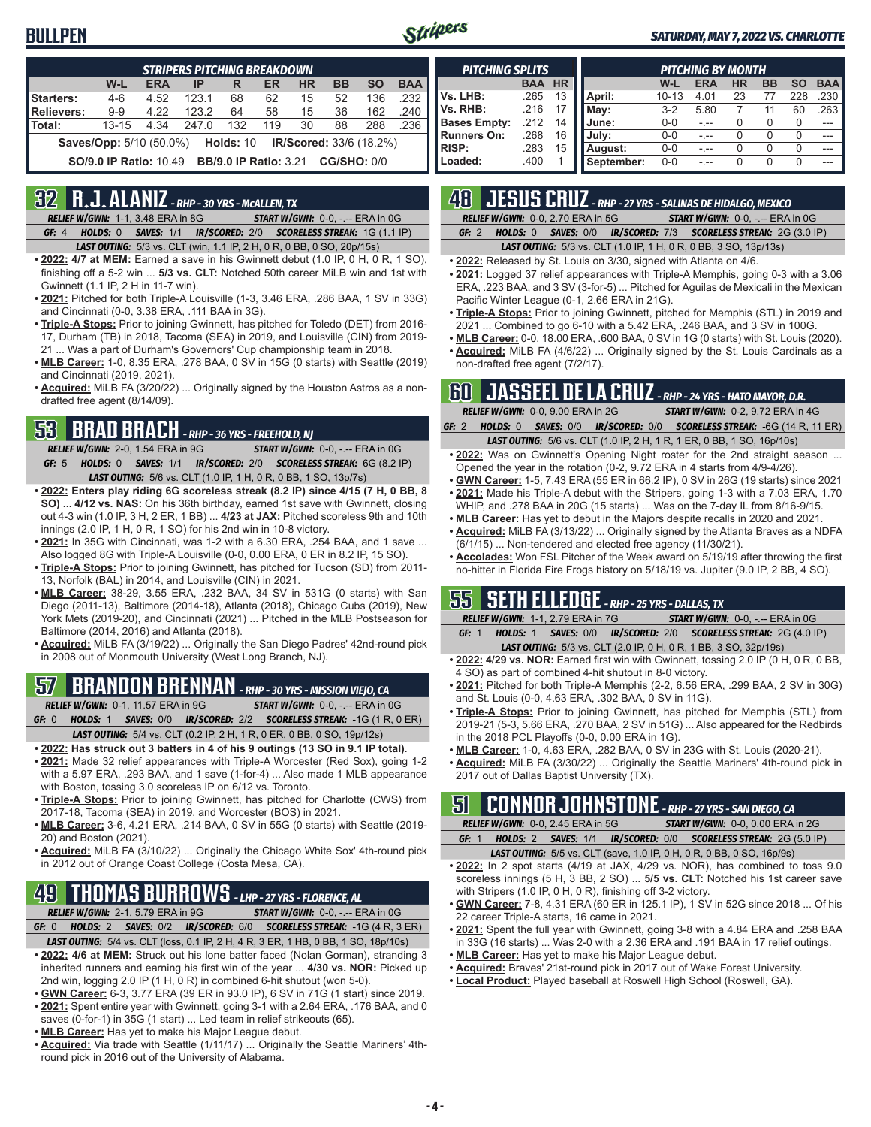## **BULLPEN**



#### *SATURDAY, MAY 7, 2022 VS. CHARLOTTE*

|            | <b>STRIPERS PITCHING BREAKDOWN</b>                                        |            |       |                  |     |           |           |                                |            |  |  |  |  |
|------------|---------------------------------------------------------------------------|------------|-------|------------------|-----|-----------|-----------|--------------------------------|------------|--|--|--|--|
|            | W-L                                                                       | <b>ERA</b> | IP    | R                | ER  | <b>HR</b> | <b>BB</b> | <b>SO</b>                      | <b>BAA</b> |  |  |  |  |
| Starters:  | $4 - 6$                                                                   | 4.52       | 123.1 | 68               | 62  | 15        | 52        | 136                            | .232       |  |  |  |  |
| Relievers: | $9 - 9$                                                                   | 4.22       | 123.2 | 64               | 58  | 15        | 36        | 162                            | .240       |  |  |  |  |
| l Total:   | $13 - 15$                                                                 | 4.34       | 2470  | 132              | 119 | 30        | 88        | 288                            | .236       |  |  |  |  |
|            | <b>Saves/Opp:</b> 5/10 (50.0%)                                            |            |       | <b>Holds: 10</b> |     |           |           | <b>IR/Scored: 33/6 (18.2%)</b> |            |  |  |  |  |
|            | <b>BB/9.0 IP Ratio: 3.21 CG/SHO: 0/0</b><br><b>SO/9.0 IP Ratio: 10.49</b> |            |       |                  |     |           |           |                                |            |  |  |  |  |

## **32 R.J. ALANIZ** *- RHP - 30 YRS - McALLEN, TX*

*RELIEF W/GWN:*1-1, 3.48 ERA in 8G *START W/GWN:*0-0, -.-- ERA in 0G *GF:*4 *HOLDS:*0 *SAVES:*1/1 *IR/SCORED:*2/0 *SCORELESS STREAK:*1G (1.1 IP)

*LAST OUTING:*5/3 vs. CLT (win, 1.1 IP, 2 H, 0 R, 0 BB, 0 SO, 20p/15s)

- **• 2022: 4/7 at MEM:** Earned a save in his Gwinnett debut (1.0 IP, 0 H, 0 R, 1 SO), finishing off a 5-2 win ... **5/3 vs. CLT:** Notched 50th career MiLB win and 1st with Gwinnett (1.1 IP, 2 H in 11-7 win).
- **• 2021:** Pitched for both Triple-A Louisville (1-3, 3.46 ERA, .286 BAA, 1 SV in 33G) and Cincinnati (0-0, 3.38 ERA, .111 BAA in 3G).
- **• Triple-A Stops:** Prior to joining Gwinnett, has pitched for Toledo (DET) from 2016- 17, Durham (TB) in 2018, Tacoma (SEA) in 2019, and Louisville (CIN) from 2019- 21 ... Was a part of Durham's Governors' Cup championship team in 2018.
- **• MLB Career:** 1-0, 8.35 ERA, .278 BAA, 0 SV in 15G (0 starts) with Seattle (2019) and Cincinnati (2019, 2021).
- **• Acquired:** MiLB FA (3/20/22) ... Originally signed by the Houston Astros as a nondrafted free agent (8/14/09).

## **53 BRAD BRACH** *- RHP - 36 YRS - FREEHOLD, NJ*

*RELIEF W/GWN:*2-0, 1.54 ERA in 9G *START W/GWN:*0-0, -.-- ERA in 0G *GF:*5 *HOLDS:*0 *SAVES:*1/1 *IR/SCORED:*2/0 *SCORELESS STREAK:*6G (8.2 IP) *LAST OUTING:*5/6 vs. CLT (1.0 IP, 1 H, 0 R, 0 BB, 1 SO, 13p/7s)

- **• 2022: Enters play riding 6G scoreless streak (8.2 IP) since 4/15 (7 H, 0 BB, 8 SO)** ... **4/12 vs. NAS:** On his 36th birthday, earned 1st save with Gwinnett, closing out 4-3 win (1.0 IP, 3 H, 2 ER, 1 BB) ... **4/23 at JAX:** Pitched scoreless 9th and 10th innings (2.0 IP, 1 H, 0 R, 1 SO) for his 2nd win in 10-8 victory.
- **• 2021:** In 35G with Cincinnati, was 1-2 with a 6.30 ERA, .254 BAA, and 1 save ... Also logged 8G with Triple-A Louisville (0-0, 0.00 ERA, 0 ER in 8.2 IP, 15 SO).
- **• Triple-A Stops:** Prior to joining Gwinnett, has pitched for Tucson (SD) from 2011- 13, Norfolk (BAL) in 2014, and Louisville (CIN) in 2021.
- **• MLB Career:** 38-29, 3.55 ERA, .232 BAA, 34 SV in 531G (0 starts) with San Diego (2011-13), Baltimore (2014-18), Atlanta (2018), Chicago Cubs (2019), New York Mets (2019-20), and Cincinnati (2021) ... Pitched in the MLB Postseason for Baltimore (2014, 2016) and Atlanta (2018).
- **• Acquired:** MiLB FA (3/19/22) ... Originally the San Diego Padres' 42nd-round pick in 2008 out of Monmouth University (West Long Branch, NJ).

#### **57 BRANDON BRENNAN** *- RHP - 30 YRS - MISSION VIEJO, CA RELIEF W/GWN:*0-1, 11.57 ERA in 9G *START W/GWN:*0-0, -.-- ERA in 0G

*GF:*0 *HOLDS:*1 *SAVES:*0/0 *IR/SCORED:*2/2 *SCORELESS STREAK:*-1G (1 R, 0 ER) *LAST OUTING:*5/4 vs. CLT (0.2 IP, 2 H, 1 R, 0 ER, 0 BB, 0 SO, 19p/12s)

- **• 2022: Has struck out 3 batters in 4 of his 9 outings (13 SO in 9.1 IP total)**.
- **• 2021:** Made 32 relief appearances with Triple-A Worcester (Red Sox), going 1-2 with a 5.97 ERA, .293 BAA, and 1 save (1-for-4) ... Also made 1 MLB appearance with Boston, tossing 3.0 scoreless IP on 6/12 vs. Toronto.
- **• Triple-A Stops:** Prior to joining Gwinnett, has pitched for Charlotte (CWS) from 2017-18, Tacoma (SEA) in 2019, and Worcester (BOS) in 2021.
- **• MLB Career:** 3-6, 4.21 ERA, .214 BAA, 0 SV in 55G (0 starts) with Seattle (2019- 20) and Boston (2021).
- **• Acquired:** MiLB FA (3/10/22) ... Originally the Chicago White Sox' 4th-round pick in 2012 out of Orange Coast College (Costa Mesa, CA).

# **49 THOMAS BURROWS** *- LHP - 27 YRS - FLORENCE, AL*

*RELIEF W/GWN:*2-1, 5.79 ERA in 9G *START W/GWN:*0-0, -.-- ERA in 0G *GF:*0 *HOLDS:*2 *SAVES:*0/2 *IR/SCORED:*6/0 *SCORELESS STREAK:*-1G (4 R, 3 ER)

- *LAST OUTING:*5/4 vs. CLT (loss, 0.1 IP, 2 H, 4 R, 3 ER, 1 HB, 0 BB, 1 SO, 18p/10s)
- **• 2022: 4/6 at MEM:** Struck out his lone batter faced (Nolan Gorman), stranding 3 inherited runners and earning his first win of the year ... **4/30 vs. NOR:** Picked up 2nd win, logging 2.0 IP (1 H, 0 R) in combined 6-hit shutout (won 5-0).
- **• GWN Career:** 6-3, 3.77 ERA (39 ER in 93.0 IP), 6 SV in 71G (1 start) since 2019.
- **• 2021:** Spent entire year with Gwinnett, going 3-1 with a 2.64 ERA, .176 BAA, and 0 saves (0-for-1) in 35G (1 start) ... Led team in relief strikeouts (65).
- **• MLB Career:** Has yet to make his Major League debut.
- **• Acquired:** Via trade with Seattle (1/11/17) ... Originally the Seattle Mariners' 4thround pick in 2016 out of the University of Alabama.

| <b>PITCHING SPLITS</b> |            |           | PITCHING BY MONTH |           |            |           |           |           |            |  |
|------------------------|------------|-----------|-------------------|-----------|------------|-----------|-----------|-----------|------------|--|
|                        | <b>BAA</b> | <b>HR</b> |                   | W-L       | <b>ERA</b> | <b>HR</b> | <b>BB</b> | <b>SO</b> | <b>BAA</b> |  |
| Vs. LHB:               | .265       | 13        | April:            | $10 - 13$ | 4.01       | 23        |           | 228       | .230       |  |
| Vs. RHB:               | .216       |           | May:              | $3-2$     | 5.80       |           | 11        | 60        | .263       |  |
| <b>Bases Empty:</b>    | .212       | 14        | June:             | $0 - 0$   |            |           | Ω         | O         |            |  |
| <b>Runners On:</b>     | .268       | 16        | July:             | $0 - 0$   |            |           |           |           |            |  |
| <b>RISP:</b>           | .283       | 15        | August:           | $0 - 0$   |            |           |           |           |            |  |
| Loaded:                | .400       |           | September:        | $0 - 0$   |            |           |           | O         |            |  |

# **48 JESUS CRUZ** *- RHP - 27 YRS - SALINAS DE HIDALGO, MEXICO*

*RELIEF W/GWN:*0-0, 2.70 ERA in 5G *START W/GWN:*0-0, -.-- ERA in 0G

*GF:*2 *HOLDS:*0 *SAVES:*0/0 *IR/SCORED:*7/3 *SCORELESS STREAK:*2G (3.0 IP)

*LAST OUTING:*5/3 vs. CLT (1.0 IP, 1 H, 0 R, 0 BB, 3 SO, 13p/13s)

- **• 2022:** Released by St. Louis on 3/30, signed with Atlanta on 4/6.
- **• 2021:** Logged 37 relief appearances with Triple-A Memphis, going 0-3 with a 3.06 ERA, .223 BAA, and 3 SV (3-for-5) ... Pitched for Aguilas de Mexicali in the Mexican Pacific Winter League (0-1, 2.66 ERA in 21G).
- **• Triple-A Stops:** Prior to joining Gwinnett, pitched for Memphis (STL) in 2019 and 2021 ... Combined to go 6-10 with a 5.42 ERA, .246 BAA, and 3 SV in 100G.
- **• MLB Career:** 0-0, 18.00 ERA, .600 BAA, 0 SV in 1G (0 starts) with St. Louis (2020).
- **• Acquired:** MiLB FA (4/6/22) ... Originally signed by the St. Louis Cardinals as a non-drafted free agent (7/2/17).

|  | <b>RT JASSEEL DE LA CRUZ</b> - RHP - 24 YRS - HATO MAYOR, D.R.                |  |                                         |  |  |
|--|-------------------------------------------------------------------------------|--|-----------------------------------------|--|--|
|  |                                                                               |  |                                         |  |  |
|  | <b>RELIEF W/GWN: 0-0. 9.00 ERA in 2G</b>                                      |  | <b>START W/GWN: 0-2. 9.72 ERA in 4G</b> |  |  |
|  | GF: 2 HOLDS: 0 SAVES: 0/0 IR/SCORED: 0/0 SCORELESS STREAK: -6G (14 R, 11 ER)  |  |                                         |  |  |
|  | <b>LAST OUTING:</b> 5/6 vs. CLT (1.0 IP, 2 H, 1 R, 1 ER, 0 BB, 1 SO, 16p/10s) |  |                                         |  |  |

- **• 2022:** Was on Gwinnett's Opening Night roster for the 2nd straight season ... Opened the year in the rotation (0-2, 9.72 ERA in 4 starts from 4/9-4/26).
- **• GWN Career:** 1-5, 7.43 ERA (55 ER in 66.2 IP), 0 SV in 26G (19 starts) since 2021 **• 2021:** Made his Triple-A debut with the Stripers, going 1-3 with a 7.03 ERA, 1.70
- WHIP, and .278 BAA in 20G (15 starts) ... Was on the 7-day IL from 8/16-9/15. **• MLB Career:** Has yet to debut in the Majors despite recalls in 2020 and 2021.
- **• Acquired:** MiLB FA (3/13/22) ... Originally signed by the Atlanta Braves as a NDFA (6/1/15) ... Non-tendered and elected free agency (11/30/21).
- **• Accolades:** Won FSL Pitcher of the Week award on 5/19/19 after throwing the first no-hitter in Florida Fire Frogs history on 5/18/19 vs. Jupiter (9.0 IP, 2 BB, 4 SO).

## **55 SETH ELLEDGE** *- RHP - 25 YRS - DALLAS, TX*

|  | <b>RELIEF W/GWN: 1-1, 2.79 ERA in 7G</b> | <b>START W/GWN: <math>0-0</math>.</b> -.-- ERA in $0G$                        |
|--|------------------------------------------|-------------------------------------------------------------------------------|
|  |                                          | <b>GF: 1 HOLDS: 1 SAVES: 0/0 IR/SCORED: 2/0 SCORELESS STREAK: 2G (4.0 IP)</b> |
|  |                                          |                                                                               |

- *LAST OUTING:*5/3 vs. CLT (2.0 IP, 0 H, 0 R, 1 BB, 3 SO, 32p/19s) **• 2022: 4/29 vs. NOR:** Earned first win with Gwinnett, tossing 2.0 IP (0 H, 0 R, 0 BB, 4 SO) as part of combined 4-hit shutout in 8-0 victory.
- **• 2021:** Pitched for both Triple-A Memphis (2-2, 6.56 ERA, .299 BAA, 2 SV in 30G) and St. Louis (0-0, 4.63 ERA, .302 BAA, 0 SV in 11G).
- **• Triple-A Stops:** Prior to joining Gwinnett, has pitched for Memphis (STL) from 2019-21 (5-3, 5.66 ERA, .270 BAA, 2 SV in 51G) ... Also appeared for the Redbirds in the 2018 PCL Playoffs (0-0, 0.00 ERA in 1G).
- **• MLB Career:** 1-0, 4.63 ERA, .282 BAA, 0 SV in 23G with St. Louis (2020-21).
- **• Acquired:** MiLB FA (3/30/22) ... Originally the Seattle Mariners' 4th-round pick in 2017 out of Dallas Baptist University (TX).

# **51 CONNOR JOHNSTONE** *- RHP - 27 YRS - SAN DIEGO, CA*

*RELIEF W/GWN:*0-0, 2.45 ERA in 5G *START W/GWN:*0-0, 0.00 ERA in 2G *GF:*1 *HOLDS:*2 *SAVES:*1/1 *IR/SCORED:*0/0 *SCORELESS STREAK:*2G (5.0 IP)

- *LAST OUTING:*5/5 vs. CLT (save, 1.0 IP, 0 H, 0 R, 0 BB, 0 SO, 16p/9s)
- **• 2022:** In 2 spot starts (4/19 at JAX, 4/29 vs. NOR), has combined to toss 9.0 scoreless innings (5 H, 3 BB, 2 SO) ... **5/5 vs. CLT:** Notched his 1st career save with Stripers (1.0 IP, 0 H, 0 R), finishing off 3-2 victory.
- **• GWN Career:** 7-8, 4.31 ERA (60 ER in 125.1 IP), 1 SV in 52G since 2018 ... Of his 22 career Triple-A starts, 16 came in 2021.
- **• 2021:** Spent the full year with Gwinnett, going 3-8 with a 4.84 ERA and .258 BAA in 33G (16 starts) ... Was 2-0 with a 2.36 ERA and .191 BAA in 17 relief outings.
	- **• MLB Career:** Has yet to make his Major League debut.
	- **• Acquired:** Braves' 21st-round pick in 2017 out of Wake Forest University.
	- **• Local Product:** Played baseball at Roswell High School (Roswell, GA).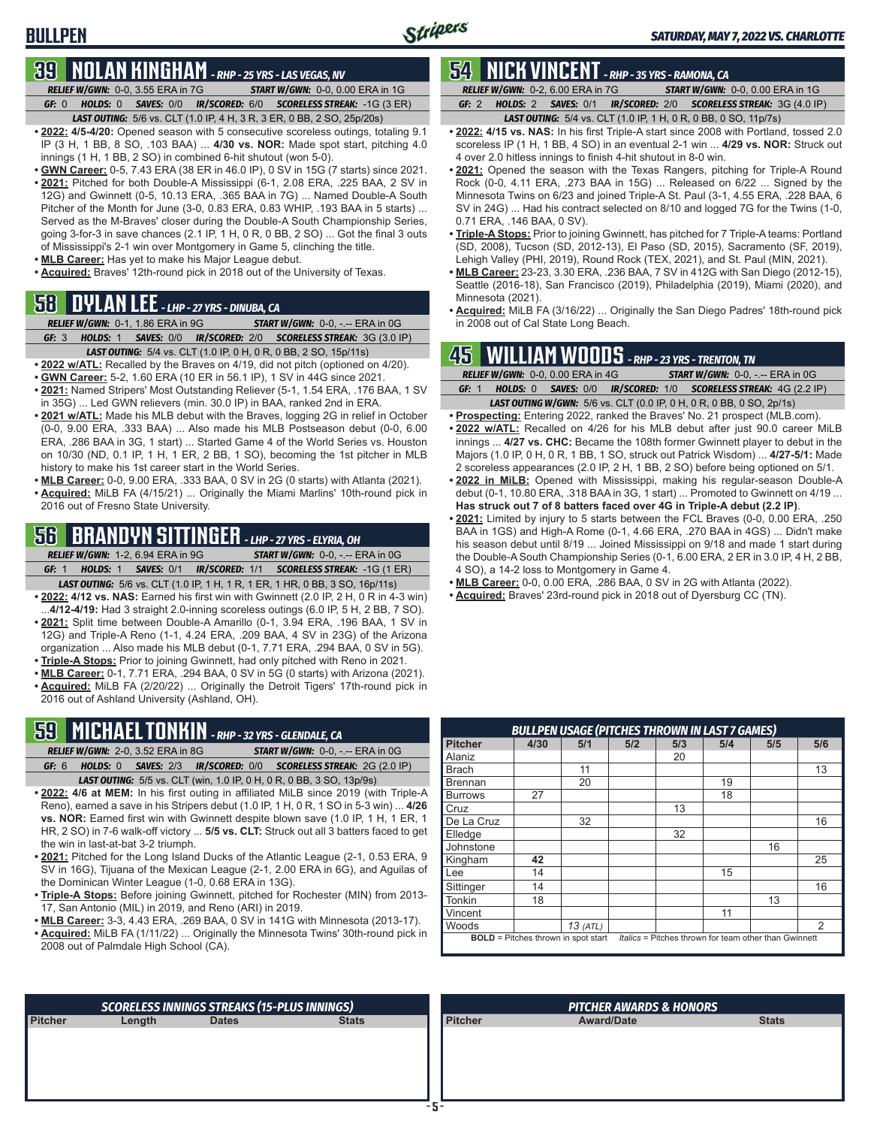# **39 NOLAN KINGHAM** *- RHP - 25 YRS - LAS VEGAS, NV*

**BULLPEN**

*RELIEF W/GWN:*0-0, 3.55 ERA in 7G *START W/GWN:*0-0, 0.00 ERA in 1G *GF:*0 *HOLDS:*0 *SAVES:*0/0 *IR/SCORED:*6/0 *SCORELESS STREAK:*-1G (3 ER) *LAST OUTING:*5/6 vs. CLT (1.0 IP, 4 H, 3 R, 3 ER, 0 BB, 2 SO, 25p/20s)

- **• 2022: 4/5-4/20:** Opened season with 5 consecutive scoreless outings, totaling 9.1 IP (3 H, 1 BB, 8 SO, .103 BAA) ... **4/30 vs. NOR:** Made spot start, pitching 4.0 innings (1 H, 1 BB, 2 SO) in combined 6-hit shutout (won 5-0).
- **• GWN Career:** 0-5, 7.43 ERA (38 ER in 46.0 IP), 0 SV in 15G (7 starts) since 2021. • 2021: Pitched for both Double-A Mississippi (6-1, 2.08 ERA, .225 BAA, 2 SV in 12G) and Gwinnett (0-5, 10.13 ERA, .365 BAA in 7G) ... Named Double-A South Pitcher of the Month for June (3-0, 0.83 ERA, 0.83 WHIP, .193 BAA in 5 starts) ... Served as the M-Braves' closer during the Double-A South Championship Series, going 3-for-3 in save chances (2.1 IP, 1 H, 0 R, 0 BB, 2 SO) ... Got the final 3 outs of Mississippi's 2-1 win over Montgomery in Game 5, clinching the title.
- **• MLB Career:** Has yet to make his Major League debut.
- **• Acquired:** Braves' 12th-round pick in 2018 out of the University of Texas.

## **58 DYLAN LEE** *- LHP - 27 YRS - DINUBA, CA*

- *RELIEF W/GWN:*0-1, 1.86 ERA in 9G *START W/GWN:*0-0, -.-- ERA in 0G
- *GF:*3 *HOLDS:*1 *SAVES:*0/0 *IR/SCORED:*2/0 *SCORELESS STREAK:*3G (3.0 IP) *LAST OUTING:*5/4 vs. CLT (1.0 IP, 0 H, 0 R, 0 BB, 2 SO, 15p/11s)
- **• 2022 w/ATL:** Recalled by the Braves on 4/19, did not pitch (optioned on 4/20).
- **• GWN Career:** 5-2, 1.60 ERA (10 ER in 56.1 IP), 1 SV in 44G since 2021.
- **• 2021:** Named Stripers' Most Outstanding Reliever (5-1, 1.54 ERA, .176 BAA, 1 SV in 35G) ... Led GWN relievers (min. 30.0 IP) in BAA, ranked 2nd in ERA.
- **• 2021 w/ATL:** Made his MLB debut with the Braves, logging 2G in relief in October (0-0, 9.00 ERA, .333 BAA) ... Also made his MLB Postseason debut (0-0, 6.00 ERA, .286 BAA in 3G, 1 start) ... Started Game 4 of the World Series vs. Houston on 10/30 (ND, 0.1 IP, 1 H, 1 ER, 2 BB, 1 SO), becoming the 1st pitcher in MLB history to make his 1st career start in the World Series.
- **• MLB Career:** 0-0, 9.00 ERA, .333 BAA, 0 SV in 2G (0 starts) with Atlanta (2021). **• Acquired:** MiLB FA (4/15/21) ... Originally the Miami Marlins' 10th-round pick in 2016 out of Fresno State University.

## **56 BRANDYN SITTINGER** *- LHP - 27 YRS - ELYRIA, OH*

*RELIEF W/GWN:*1-2, 6.94 ERA in 9G *START W/GWN:*0-0, -.-- ERA in 0G *GF:*1 *HOLDS:*1 *SAVES:*0/1 *IR/SCORED:*1/1 *SCORELESS STREAK:*-1G (1 ER)

- *LAST OUTING:*5/6 vs. CLT (1.0 IP, 1 H, 1 R, 1 ER, 1 HR, 0 BB, 3 SO, 16p/11s) **• 2022: 4/12 vs. NAS:** Earned his first win with Gwinnett (2.0 IP, 2 H, 0 R in 4-3 win)
- ...**4/12-4/19:** Had 3 straight 2.0-inning scoreless outings (6.0 IP, 5 H, 2 BB, 7 SO). • 2021: Split time between Double-A Amarillo (0-1, 3.94 ERA, .196 BAA, 1 SV in 12G) and Triple-A Reno (1-1, 4.24 ERA, .209 BAA, 4 SV in 23G) of the Arizona organization ... Also made his MLB debut (0-1, 7.71 ERA, .294 BAA, 0 SV in 5G).
- **• Triple-A Stops:** Prior to joining Gwinnett, had only pitched with Reno in 2021.
- **• MLB Career:** 0-1, 7.71 ERA, .294 BAA, 0 SV in 5G (0 starts) with Arizona (2021). **• Acquired:** MiLB FA (2/20/22) ... Originally the Detroit Tigers' 17th-round pick in 2016 out of Ashland University (Ashland, OH).

# **59 MICHAEL TONKIN** *- RHP - 32 YRS - GLENDALE, CA*

- *RELIEF W/GWN:*2-0, 3.52 ERA in 8G *START W/GWN:*0-0, -.-- ERA in 0G *GF:*6 *HOLDS:*0 *SAVES:*2/3 *IR/SCORED:*0/0 *SCORELESS STREAK:*2G (2.0 IP) *LAST OUTING:*5/5 vs. CLT (win, 1.0 IP, 0 H, 0 R, 0 BB, 3 SO, 13p/9s)
- **• 2022: 4/6 at MEM:** In his first outing in affiliated MiLB since 2019 (with Triple-A Reno), earned a save in his Stripers debut (1.0 IP, 1 H, 0 R, 1 SO in 5-3 win) ... **4/26 vs. NOR:** Earned first win with Gwinnett despite blown save (1.0 IP, 1 H, 1 ER, 1 HR, 2 SO) in 7-6 walk-off victory ... **5/5 vs. CLT:** Struck out all 3 batters faced to get the win in last-at-bat 3-2 triumph.
- **• 2021:** Pitched for the Long Island Ducks of the Atlantic League (2-1, 0.53 ERA, 9 SV in 16G), Tijuana of the Mexican League (2-1, 2.00 ERA in 6G), and Aguilas of the Dominican Winter League (1-0, 0.68 ERA in 13G).
- **• Triple-A Stops:** Before joining Gwinnett, pitched for Rochester (MIN) from 2013- 17, San Antonio (MIL) in 2019, and Reno (ARI) in 2019.
- **• MLB Career:** 3-3, 4.43 ERA, .269 BAA, 0 SV in 141G with Minnesota (2013-17).
- **• Acquired:** MiLB FA (1/11/22) ... Originally the Minnesota Twins' 30th-round pick in 2008 out of Palmdale High School (CA).

#### **54 NICK VINCENT** *- RHP - 35 YRS - RAMONA, CA RELIEF W/GWN:*0-2, 6.00 ERA in 7G *START W/GWN:*0-0, 0.00 ERA in 1G *GF:*2 *HOLDS:*2 *SAVES:*0/1 *IR/SCORED:*2/0 *SCORELESS STREAK:*3G (4.0 IP)

*LAST OUTING:*5/4 vs. CLT (1.0 IP, 1 H, 0 R, 0 BB, 0 SO, 11p/7s)

- **• 2022: 4/15 vs. NAS:** In his first Triple-A start since 2008 with Portland, tossed 2.0 scoreless IP (1 H, 1 BB, 4 SO) in an eventual 2-1 win ... **4/29 vs. NOR:** Struck out 4 over 2.0 hitless innings to finish 4-hit shutout in 8-0 win.
- **• 2021:** Opened the season with the Texas Rangers, pitching for Triple-A Round Rock (0-0, 4.11 ERA, .273 BAA in 15G) ... Released on 6/22 ... Signed by the Minnesota Twins on 6/23 and joined Triple-A St. Paul (3-1, 4.55 ERA, .228 BAA, 6 SV in 24G) ... Had his contract selected on 8/10 and logged 7G for the Twins (1-0, 0.71 ERA, .146 BAA, 0 SV).
- **• Triple-A Stops:** Prior to joining Gwinnett, has pitched for 7 Triple-A teams: Portland (SD, 2008), Tucson (SD, 2012-13), El Paso (SD, 2015), Sacramento (SF, 2019), Lehigh Valley (PHI, 2019), Round Rock (TEX, 2021), and St. Paul (MIN, 2021).
- **• MLB Career:** 23-23, 3.30 ERA, .236 BAA, 7 SV in 412G with San Diego (2012-15), Seattle (2016-18), San Francisco (2019), Philadelphia (2019), Miami (2020), and Minnesota (2021).
- **• Acquired:** MiLB FA (3/16/22) ... Originally the San Diego Padres' 18th-round pick in 2008 out of Cal State Long Beach.

## **45 WILLIAM WOODS** *- RHP - 23 YRS - TRENTON, TN*

|       | RELIEF W/GWN: 0-0, 0.00 ERA in 4G<br><b>START W/GWN: 0-0, -.-- ERA in 0G</b> |  |                                                                             |  |                                                                  |  |  |  |  |
|-------|------------------------------------------------------------------------------|--|-----------------------------------------------------------------------------|--|------------------------------------------------------------------|--|--|--|--|
| GF: 1 |                                                                              |  |                                                                             |  | HOLDS: 0 SAVES: 0/0 IR/SCORED: 1/0 SCORELESS STREAK: 4G (2.2 IP) |  |  |  |  |
|       |                                                                              |  | <b>LAST OUTING W/GWN:</b> 5/6 vs. CLT (0.0 IP, 0 H, 0 R, 0 BB, 0 SO, 2p/1s) |  |                                                                  |  |  |  |  |

- **• Prospecting:** Entering 2022, ranked the Braves' No. 21 prospect (MLB.com). **• 2022 w/ATL:** Recalled on 4/26 for his MLB debut after just 90.0 career MiLB
- innings ... **4/27 vs. CHC:** Became the 108th former Gwinnett player to debut in the Majors (1.0 IP, 0 H, 0 R, 1 BB, 1 SO, struck out Patrick Wisdom) ... **4/27-5/1:** Made 2 scoreless appearances (2.0 IP, 2 H, 1 BB, 2 SO) before being optioned on 5/1.
- **• 2022 in MiLB:** Opened with Mississippi, making his regular-season Double-A debut (0-1, 10.80 ERA, .318 BAA in 3G, 1 start) ... Promoted to Gwinnett on 4/19 ... **Has struck out 7 of 8 batters faced over 4G in Triple-A debut (2.2 IP)**.
- **• 2021:** Limited by injury to 5 starts between the FCL Braves (0-0, 0.00 ERA, .250 BAA in 1GS) and High-A Rome (0-1, 4.66 ERA, .270 BAA in 4GS) ... Didn't make his season debut until 8/19 ... Joined Mississippi on 9/18 and made 1 start during the Double-A South Championship Series (0-1, 6.00 ERA, 2 ER in 3.0 IP, 4 H, 2 BB, 4 SO), a 14-2 loss to Montgomery in Game 4.
- **• MLB Career:** 0-0, 0.00 ERA, .286 BAA, 0 SV in 2G with Atlanta (2022).
- **• Acquired:** Braves' 23rd-round pick in 2018 out of Dyersburg CC (TN).

|                |                                                                                                     | <b>BULLPEN USAGE (PITCHES THROWN IN LAST 7 GAMES)</b> |     |     |     |     |     |  |  |  |  |
|----------------|-----------------------------------------------------------------------------------------------------|-------------------------------------------------------|-----|-----|-----|-----|-----|--|--|--|--|
| <b>Pitcher</b> | 4/30                                                                                                | 5/1                                                   | 5/2 | 5/3 | 5/4 | 5/5 | 5/6 |  |  |  |  |
| Alaniz         |                                                                                                     |                                                       |     | 20  |     |     |     |  |  |  |  |
| <b>Brach</b>   |                                                                                                     | 11                                                    |     |     |     |     | 13  |  |  |  |  |
| <b>Brennan</b> |                                                                                                     | 20                                                    |     |     | 19  |     |     |  |  |  |  |
| <b>Burrows</b> | 27                                                                                                  |                                                       |     |     | 18  |     |     |  |  |  |  |
| Cruz           |                                                                                                     |                                                       |     | 13  |     |     |     |  |  |  |  |
| De La Cruz     |                                                                                                     | 32                                                    |     |     |     |     | 16  |  |  |  |  |
| Elledge        |                                                                                                     |                                                       |     | 32  |     |     |     |  |  |  |  |
| Johnstone      |                                                                                                     |                                                       |     |     |     | 16  |     |  |  |  |  |
| Kingham        | 42                                                                                                  |                                                       |     |     |     |     | 25  |  |  |  |  |
| Lee            | 14                                                                                                  |                                                       |     |     | 15  |     |     |  |  |  |  |
| Sittinger      | 14                                                                                                  |                                                       |     |     |     |     | 16  |  |  |  |  |
| Tonkin         | 18                                                                                                  |                                                       |     |     |     | 13  |     |  |  |  |  |
| Vincent        |                                                                                                     |                                                       |     |     | 11  |     |     |  |  |  |  |
| Woods          |                                                                                                     | $13$ (ATL)                                            |     |     |     |     | 2   |  |  |  |  |
|                | Italics = Pitches thrown for team other than Gwinnett<br><b>BOLD</b> = Pitches thrown in spot start |                                                       |     |     |     |     |     |  |  |  |  |

|                |        | <b>SCORELESS INNINGS STREAKS (15-PLUS INNINGS)</b> |              | <b>PITCHER AWARDS &amp; HONORS</b> |                   |              |  |  |
|----------------|--------|----------------------------------------------------|--------------|------------------------------------|-------------------|--------------|--|--|
| <b>Pitcher</b> | Length | <b>Dates</b>                                       | <b>Stats</b> | <b>Pitcher</b>                     | <b>Award/Date</b> | <b>Stats</b> |  |  |
|                |        |                                                    |              |                                    |                   |              |  |  |
|                |        |                                                    |              |                                    |                   |              |  |  |
|                |        |                                                    |              |                                    |                   |              |  |  |
|                |        |                                                    |              |                                    |                   |              |  |  |
|                |        |                                                    |              |                                    |                   |              |  |  |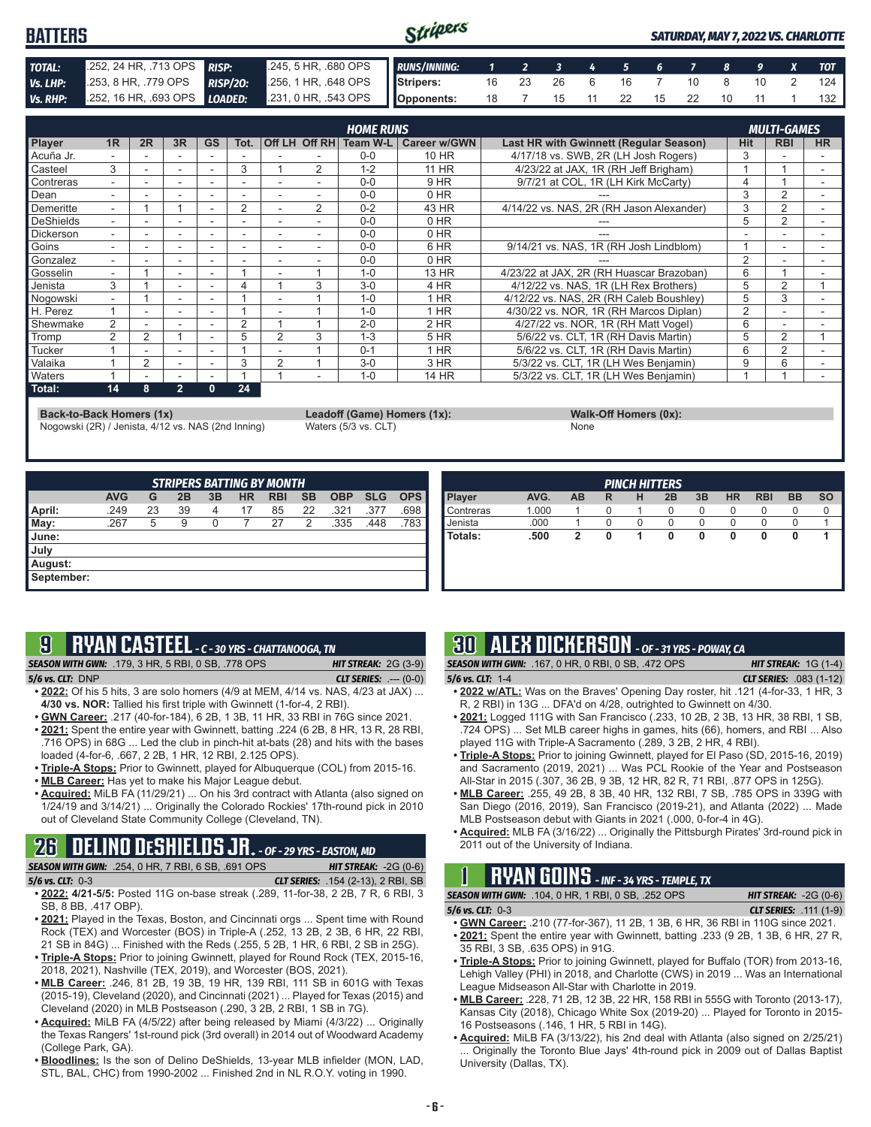#### Stripers **BATTERS** *SATURDAY, MAY 7, 2022 VS. CHARLOTTE TOTAL:* .252, 24 HR, .713 OPS *RISP:* .245, 5 HR, .680 OPS *RUNS/INNING: 1 2 3 4 5 6 7 8 9 X TOT Vs. LHP:* .253, 8 HR, .779 OPS *RISP/2O:* .256, 1 HR, .648 OPS **Stripers:** 16 23 26 6 16 7 10 8 10 2 124 *Vs. RHP:* .252, 16 HR, .693 OPS *LOADED:* .231, 0 HR, .543 OPS **Opponents:** 18 7 15 11 22 15 22 10 11 1 132

|                    |                          |    |                          |           |          |                          |                | <b>HOME RUNS</b> |              |                                               |                | <b>MULTI-GAMES</b> |                          |
|--------------------|--------------------------|----|--------------------------|-----------|----------|--------------------------|----------------|------------------|--------------|-----------------------------------------------|----------------|--------------------|--------------------------|
| Player             | 1 <sub>R</sub>           | 2R | 3R                       | <b>GS</b> | Tot.     |                          | Off LH Off RH  | Team W-L         | Career w/GWN | <b>Last HR with Gwinnett (Regular Season)</b> | <b>Hit</b>     | <b>RBI</b>         | <b>HR</b>                |
| Acuña Jr.          |                          |    |                          |           |          |                          |                | $0 - 0$          | 10 HR        | 4/17/18 vs. SWB, 2R (LH Josh Rogers)          | 3              |                    |                          |
| Casteel            | 3                        |    | ۰                        |           | 3        |                          | 2              | $1 - 2$          | <b>11 HR</b> | 4/23/22 at JAX, 1R (RH Jeff Brigham)          |                |                    |                          |
| Contreras          | $\overline{\phantom{0}}$ |    | ۰                        |           |          |                          |                | $0 - 0$          | 9 HR         | 9/7/21 at COL, 1R (LH Kirk McCarty)           | 4              |                    | $\overline{\phantom{a}}$ |
| Dean               |                          |    |                          |           |          |                          |                | $0 - 0$          | 0 HR         |                                               | 3              | 2                  |                          |
| Demeritte          |                          |    |                          |           | 2        |                          | $\overline{2}$ | $0 - 2$          | 43 HR        | 4/14/22 vs. NAS, 2R (RH Jason Alexander)      | 3              | 2                  |                          |
| DeShields          | $\overline{\phantom{0}}$ |    |                          |           |          | $\overline{\phantom{0}}$ |                | $0 - 0$          | 0 HR         |                                               | 5              | $\overline{2}$     | ۰                        |
| Dickerson          | $\overline{\phantom{0}}$ | ۰  | $\overline{\phantom{a}}$ |           | -        |                          |                | $0 - 0$          | 0 HR         |                                               |                |                    | ۰                        |
| Goins              |                          |    |                          |           |          |                          |                | $0 - 0$          | 6 HR         | 9/14/21 vs. NAS, 1R (RH Josh Lindblom)        |                |                    |                          |
| Gonzalez           | ۰.                       |    | -                        |           |          | -                        |                | $0 - 0$          | 0 HR         |                                               | $\overline{2}$ |                    | ۰                        |
| Gosselin           | $\overline{a}$           |    |                          |           |          |                          |                | $1 - 0$          | 13 HR        | 4/23/22 at JAX. 2R (RH Huascar Brazoban)      | 6              |                    |                          |
| Jenista            | 3                        |    |                          |           |          |                          | 3              | $3-0$            | 4 HR         | 4/12/22 vs. NAS, 1R (LH Rex Brothers)         | 5              | 2                  |                          |
| Nogowski           | ۰.                       |    | $\overline{\phantom{a}}$ |           |          |                          |                | $1 - 0$          | $1$ HR       | 4/12/22 vs. NAS, 2R (RH Caleb Boushley)       | 5              | 3                  | ۰                        |
| H. Perez           |                          |    |                          |           |          |                          |                | $1 - 0$          | 1 HR         | 4/30/22 vs. NOR. 1R (RH Marcos Diplan)        | $\overline{2}$ |                    |                          |
| Shewmake           | 2                        |    |                          |           | $\Omega$ |                          |                | $2 - 0$          | 2 HR         | 4/27/22 vs. NOR, 1R (RH Matt Vogel)           | 6              |                    |                          |
| <b>Tromp</b>       | 2                        | 2  |                          |           | 5        | 2                        | 3              | $1 - 3$          | <b>5 HR</b>  | 5/6/22 vs. CLT, 1R (RH Davis Martin)          | 5              | 2                  |                          |
| Tucker             |                          |    |                          |           |          |                          |                | $0 - 1$          | 1 HR         | 5/6/22 vs. CLT, 1R (RH Davis Martin)          | 6              | 2                  |                          |
| Valaika            |                          | 2  |                          |           | 3        | $\overline{2}$           |                | $3 - 0$          | 3 HR         | 5/3/22 vs. CLT, 1R (LH Wes Benjamin)          | 9              | 6                  |                          |
| <b>Naters</b>      |                          | ۰  | ۰                        |           |          |                          |                | $1 - 0$          | 14 HR        | 5/3/22 vs. CLT. 1R (LH Wes Benjamin)          |                |                    |                          |
| $\parallel$ Total: | 14                       | 8  | $\overline{2}$           | 0         | 24       |                          |                |                  |              |                                               |                |                    |                          |

**Back-to-Back Homers (1x) Leadoff (Game) Homers (1x): Walk-Off Homers (0x):**

Nogowski (2R) / Jenista, 4/12 vs. NAS (2nd Inning) Waters (5/3 vs. CLT) None

| <b>STRIPERS BATTING BY MONTH</b> |            |    |    |    |           |            |           |            |            |            |
|----------------------------------|------------|----|----|----|-----------|------------|-----------|------------|------------|------------|
|                                  | <b>AVG</b> | G  | 2B | 3B | <b>HR</b> | <b>RBI</b> | <b>SB</b> | <b>OBP</b> | <b>SLG</b> | <b>OPS</b> |
| April:                           | .249       | 23 | 39 | 4  | 17        | 85         | 22        | .321       | .377       | .698       |
| May:                             | .267       | 5  | 9  | 0  |           | 27         | 2         | .335       | .448       | .783       |
| June:                            |            |    |    |    |           |            |           |            |            |            |
| July                             |            |    |    |    |           |            |           |            |            |            |
| August:                          |            |    |    |    |           |            |           |            |            |            |
| September:                       |            |    |    |    |           |            |           |            |            |            |

| <b>SO</b> | <b>BB</b> | <b>RBI</b> | <b>HR</b> | 3B | <b>PINCH HITTERS</b><br>2B | н | R | AB | AVG.  | Player    |
|-----------|-----------|------------|-----------|----|----------------------------|---|---|----|-------|-----------|
|           | 0         | 0          | $\Omega$  | 0  | 0                          |   | 0 |    | 1.000 | Contreras |
|           |           | 0          | O         | 0  | 0                          | 0 | 0 |    | .000  | Jenista   |
|           | 0         | 0          | 0         | 0  | 0                          | 1 | 0 | 2  | .500  | Totals:   |
|           |           |            |           |    |                            |   |   |    |       |           |
|           |           |            |           |    |                            |   |   |    |       |           |
|           |           |            |           |    |                            |   |   |    |       |           |
|           |           |            |           |    |                            |   |   |    |       |           |

| 9 |  |  | RYAN CASTEEL -C - 30 YRS - CHATTANOOGA, TN |
|---|--|--|--------------------------------------------|
|   |  |  |                                            |

*SEASON WITH GWN:*.179, 3 HR, 5 RBI, 0 SB, .778 OPS *HIT STREAK:* 2G (3-9)

*5/6 vs. CLT:*DNP *CLT SERIES:* .--- (0-0) **• 2022:** Of his 5 hits, 3 are solo homers (4/9 at MEM, 4/14 vs. NAS, 4/23 at JAX) ... **4/30 vs. NOR:** Tallied his first triple with Gwinnett (1-for-4, 2 RBI).

- **• GWN Career:** .217 (40-for-184), 6 2B, 1 3B, 11 HR, 33 RBI in 76G since 2021.
- **• 2021:** Spent the entire year with Gwinnett, batting .224 (6 2B, 8 HR, 13 R, 28 RBI, .716 OPS) in 68G ... Led the club in pinch-hit at-bats (28) and hits with the bases loaded (4-for-6, .667, 2 2B, 1 HR, 12 RBI, 2.125 OPS).
- **• Triple-A Stops:** Prior to Gwinnett, played for Albuquerque (COL) from 2015-16.
- **• MLB Career:** Has yet to make his Major League debut.
- **• Acquired:** MiLB FA (11/29/21) ... On his 3rd contract with Atlanta (also signed on 1/24/19 and 3/14/21) ... Originally the Colorado Rockies' 17th-round pick in 2010 out of Cleveland State Community College (Cleveland, TN).

# **26 DELINO DESHIELDS JR.** *- OF - 29 YRS - EASTON, MD*

*SEASON WITH GWN:*.254, 0 HR, 7 RBI, 6 SB, .691 OPS *HIT STREAK:* -2G (0-6)

- *5/6 vs. CLT:*0-3 *CLT SERIES:* .154 (2-13), 2 RBI, SB **• 2022: 4/21-5/5:** Posted 11G on-base streak (.289, 11-for-38, 2 2B, 7 R, 6 RBI, 3 SB, 8 BB, .417 OBP).
- **• 2021:** Played in the Texas, Boston, and Cincinnati orgs ... Spent time with Round Rock (TEX) and Worcester (BOS) in Triple-A (.252, 13 2B, 2 3B, 6 HR, 22 RBI, 21 SB in 84G) ... Finished with the Reds (.255, 5 2B, 1 HR, 6 RBI, 2 SB in 25G).
- **• Triple-A Stops:** Prior to joining Gwinnett, played for Round Rock (TEX, 2015-16, 2018, 2021), Nashville (TEX, 2019), and Worcester (BOS, 2021).
- **• MLB Career:** .246, 81 2B, 19 3B, 19 HR, 139 RBI, 111 SB in 601G with Texas (2015-19), Cleveland (2020), and Cincinnati (2021) ... Played for Texas (2015) and Cleveland (2020) in MLB Postseason (.290, 3 2B, 2 RBI, 1 SB in 7G).
- **• Acquired:** MiLB FA (4/5/22) after being released by Miami (4/3/22) ... Originally the Texas Rangers' 1st-round pick (3rd overall) in 2014 out of Woodward Academy (College Park, GA).
- **• Bloodlines:** Is the son of Delino DeShields, 13-year MLB infielder (MON, LAD, STL, BAL, CHC) from 1990-2002 ... Finished 2nd in NL R.O.Y. voting in 1990.

# **30 ALEX DICKERSON** *- OF - 31 YRS - POWAY, CA*

*SEASON WITH GWN:*.167, 0 HR, 0 RBI, 0 SB, .472 OPS *HIT STREAK:* 1G (1-4) *5/6 vs. CLT:*1-4 *CLT SERIES:* .083 (1-12)

- **• 2022 w/ATL:** Was on the Braves' Opening Day roster, hit .121 (4-for-33, 1 HR, 3 R, 2 RBI) in 13G ... DFA'd on 4/28, outrighted to Gwinnett on 4/30.
- **• 2021:** Logged 111G with San Francisco (.233, 10 2B, 2 3B, 13 HR, 38 RBI, 1 SB, .724 OPS) ... Set MLB career highs in games, hits (66), homers, and RBI ... Also played 11G with Triple-A Sacramento (.289, 3 2B, 2 HR, 4 RBI).
- **• Triple-A Stops:** Prior to joining Gwinnett, played for El Paso (SD, 2015-16, 2019) and Sacramento (2019, 2021) ... Was PCL Rookie of the Year and Postseason All-Star in 2015 (.307, 36 2B, 9 3B, 12 HR, 82 R, 71 RBI, .877 OPS in 125G).
- **• MLB Career:** .255, 49 2B, 8 3B, 40 HR, 132 RBI, 7 SB, .785 OPS in 339G with San Diego (2016, 2019), San Francisco (2019-21), and Atlanta (2022) ... Made MLB Postseason debut with Giants in 2021 (.000, 0-for-4 in 4G).
- **• Acquired:** MLB FA (3/16/22) ... Originally the Pittsburgh Pirates' 3rd-round pick in 2011 out of the University of Indiana.

# **1 RYAN GOINS** *- INF - 34 YRS - TEMPLE, TX*

*SEASON WITH GWN:*.104, 0 HR, 1 RBI, 0 SB, .252 OPS *HIT STREAK:* -2G (0-6) *5/6 vs. CLT:*0-3 *CLT SERIES:* .111 (1-9)

- **• GWN Career:** .210 (77-for-367), 11 2B, 1 3B, 6 HR, 36 RBI in 110G since 2021. **• 2021:** Spent the entire year with Gwinnett, batting .233 (9 2B, 1 3B, 6 HR, 27 R,
- 35 RBI, 3 SB, .635 OPS) in 91G. **• Triple-A Stops:** Prior to joining Gwinnett, played for Buffalo (TOR) from 2013-16, Lehigh Valley (PHI) in 2018, and Charlotte (CWS) in 2019 ... Was an International League Midseason All-Star with Charlotte in 2019.
- **• MLB Career:** .228, 71 2B, 12 3B, 22 HR, 158 RBI in 555G with Toronto (2013-17), Kansas City (2018), Chicago White Sox (2019-20) ... Played for Toronto in 2015- 16 Postseasons (.146, 1 HR, 5 RBI in 14G).
- **• Acquired:** MiLB FA (3/13/22), his 2nd deal with Atlanta (also signed on 2/25/21) ... Originally the Toronto Blue Jays' 4th-round pick in 2009 out of Dallas Baptist University (Dallas, TX).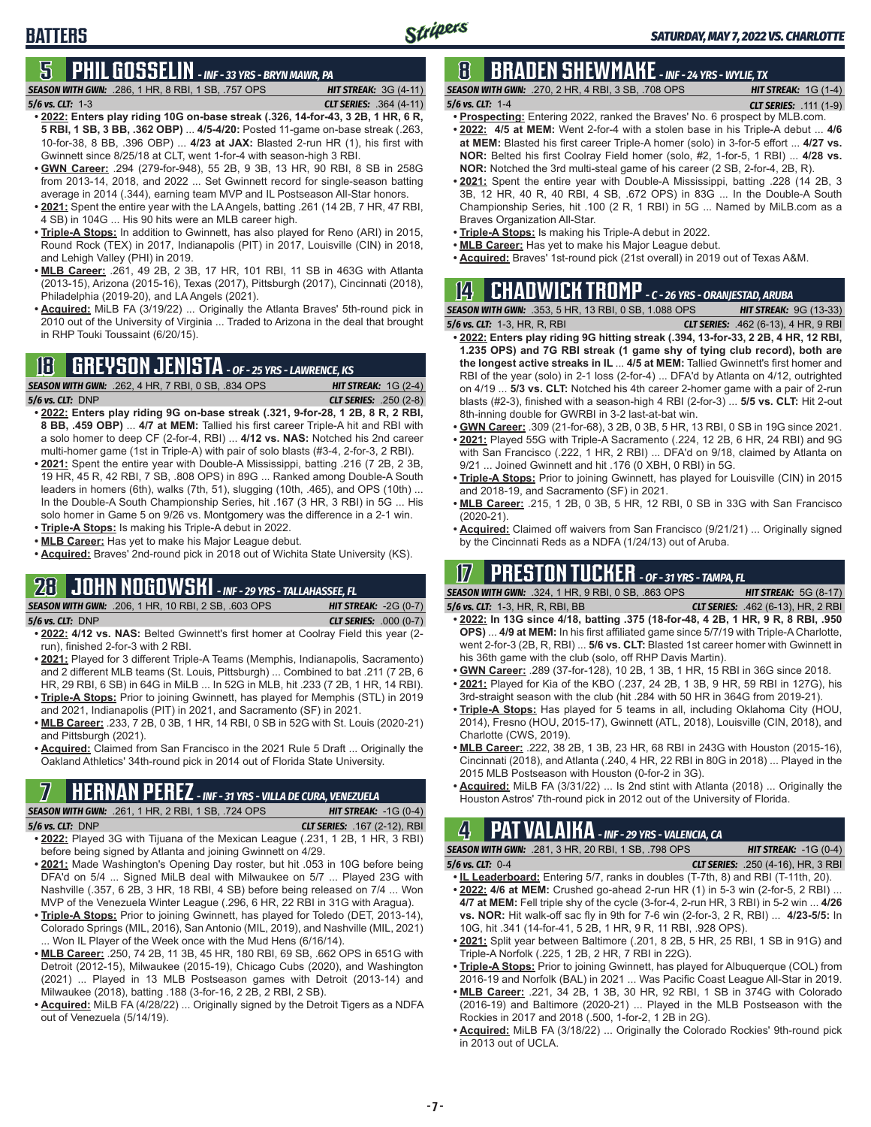# **5 PHIL GOSSELIN** *- INF - 33 YRS - BRYN MAWR, PA*

*SEASON WITH GWN:*.286, 1 HR, 8 RBI, 1 SB, .757 OPS *HIT STREAK:* 3G (4-11)

*5/6 vs. CLT:*1-3 *CLT SERIES:* .364 (4-11)

- **• 2022: Enters play riding 10G on-base streak (.326, 14-for-43, 3 2B, 1 HR, 6 R, 5 RBI, 1 SB, 3 BB, .362 OBP)** ... **4/5-4/20:** Posted 11-game on-base streak (.263, 10-for-38, 8 BB, .396 OBP) ... **4/23 at JAX:** Blasted 2-run HR (1), his first with Gwinnett since 8/25/18 at CLT, went 1-for-4 with season-high 3 RBI.
- **• GWN Career:** .294 (279-for-948), 55 2B, 9 3B, 13 HR, 90 RBI, 8 SB in 258G from 2013-14, 2018, and 2022 ... Set Gwinnett record for single-season batting average in 2014 (.344), earning team MVP and IL Postseason All-Star honors.
- **• 2021:** Spent the entire year with the LA Angels, batting .261 (14 2B, 7 HR, 47 RBI, 4 SB) in 104G ... His 90 hits were an MLB career high.
- **• Triple-A Stops:** In addition to Gwinnett, has also played for Reno (ARI) in 2015, Round Rock (TEX) in 2017, Indianapolis (PIT) in 2017, Louisville (CIN) in 2018, and Lehigh Valley (PHI) in 2019.
- **• MLB Career:** .261, 49 2B, 2 3B, 17 HR, 101 RBI, 11 SB in 463G with Atlanta (2013-15), Arizona (2015-16), Texas (2017), Pittsburgh (2017), Cincinnati (2018), Philadelphia (2019-20), and LA Angels (2021).
- **• Acquired:** MiLB FA (3/19/22) ... Originally the Atlanta Braves' 5th-round pick in 2010 out of the University of Virginia ... Traded to Arizona in the deal that brought in RHP Touki Toussaint (6/20/15).

# **18 GREYSON JENISTA** *- OF - 25 YRS - LAWRENCE, KS*



- **• 2022: Enters play riding 9G on-base streak (.321, 9-for-28, 1 2B, 8 R, 2 RBI, 8 BB, .459 OBP)** ... **4/7 at MEM:** Tallied his first career Triple-A hit and RBI with a solo homer to deep CF (2-for-4, RBI) ... **4/12 vs. NAS:** Notched his 2nd career multi-homer game (1st in Triple-A) with pair of solo blasts (#3-4, 2-for-3, 2 RBI).
- **• 2021:** Spent the entire year with Double-A Mississippi, batting .216 (7 2B, 2 3B, 19 HR, 45 R, 42 RBI, 7 SB, .808 OPS) in 89G ... Ranked among Double-A South leaders in homers (6th), walks (7th, 51), slugging (10th, .465), and OPS (10th) ... In the Double-A South Championship Series, hit .167 (3 HR, 3 RBI) in 5G ... His solo homer in Game 5 on 9/26 vs. Montgomery was the difference in a 2-1 win.
- **• Triple-A Stops:** Is making his Triple-A debut in 2022. **• MLB Career:** Has yet to make his Major League debut.
- **• Acquired:** Braves' 2nd-round pick in 2018 out of Wichita State University (KS).

## **28 JOHN NOGOWSKI** *- INF - 29 YRS - TALLAHASSEE, FL SEASON WITH GWN:*.206, 1 HR, 10 RBI, 2 SB, .603 OPS *HIT STREAK:* -2G (0-7)

*5/6 vs. CLT:*DNP *CLT SERIES:* .000 (0-7)

- **• 2022: 4/12 vs. NAS:** Belted Gwinnett's first homer at Coolray Field this year (2 run), finished 2-for-3 with 2 RBI.
- **• 2021:** Played for 3 different Triple-A Teams (Memphis, Indianapolis, Sacramento) and 2 different MLB teams (St. Louis, Pittsburgh) ... Combined to bat .211 (7 2B, 6 HR, 29 RBI, 6 SB) in 64G in MiLB ... In 52G in MLB, hit .233 (7 2B, 1 HR, 14 RBI).
- **• Triple-A Stops:** Prior to joining Gwinnett, has played for Memphis (STL) in 2019 and 2021, Indianapolis (PIT) in 2021, and Sacramento (SF) in 2021.
- **• MLB Career:** .233, 7 2B, 0 3B, 1 HR, 14 RBI, 0 SB in 52G with St. Louis (2020-21) and Pittsburgh (2021).
- **• Acquired:** Claimed from San Francisco in the 2021 Rule 5 Draft ... Originally the Oakland Athletics' 34th-round pick in 2014 out of Florida State University.

*SEASON WITH GWN:*.261, 1 HR, 2 RBI, 1 SB, .724 OPS *HIT STREAK:* -1G (0-4)

- *5/6 vs. CLT:*DNP *CLT SERIES:* .167 (2-12), RBI **• 2022:** Played 3G with Tijuana of the Mexican League (.231, 1 2B, 1 HR, 3 RBI) before being signed by Atlanta and joining Gwinnett on 4/29.
- **• 2021:** Made Washington's Opening Day roster, but hit .053 in 10G before being DFA'd on 5/4 ... Signed MiLB deal with Milwaukee on 5/7 ... Played 23G with Nashville (.357, 6 2B, 3 HR, 18 RBI, 4 SB) before being released on 7/4 ... Won MVP of the Venezuela Winter League (.296, 6 HR, 22 RBI in 31G with Aragua).
- **• Triple-A Stops:** Prior to joining Gwinnett, has played for Toledo (DET, 2013-14), Colorado Springs (MIL, 2016), San Antonio (MIL, 2019), and Nashville (MIL, 2021) ... Won IL Player of the Week once with the Mud Hens (6/16/14).
- **• MLB Career:** .250, 74 2B, 11 3B, 45 HR, 180 RBI, 69 SB, .662 OPS in 651G with Detroit (2012-15), Milwaukee (2015-19), Chicago Cubs (2020), and Washington (2021) ... Played in 13 MLB Postseason games with Detroit (2013-14) and Milwaukee (2018), batting .188 (3-for-16, 2 2B, 2 RBI, 2 SB).
- **• Acquired:** MiLB FA (4/28/22) ... Originally signed by the Detroit Tigers as a NDFA out of Venezuela (5/14/19).

# **8 BRADEN SHEWMAKE** *- INF - 24 YRS - WYLIE, TX*

*SEASON WITH GWN:*.270, 2 HR, 4 RBI, 3 SB, .708 OPS *HIT STREAK:* 1G (1-4) *5/6 vs. CLT:*1-4 *CLT SERIES:* .111 (1-9)

- - **• Prospecting:** Entering 2022, ranked the Braves' No. 6 prospect by MLB.com. **• 2022: 4/5 at MEM:** Went 2-for-4 with a stolen base in his Triple-A debut ... **4/6 at MEM:** Blasted his first career Triple-A homer (solo) in 3-for-5 effort ... **4/27 vs. NOR:** Belted his first Coolray Field homer (solo, #2, 1-for-5, 1 RBI) ... **4/28 vs. NOR:** Notched the 3rd multi-steal game of his career (2 SB, 2-for-4, 2B, R).
	- **• 2021:** Spent the entire year with Double-A Mississippi, batting .228 (14 2B, 3 3B, 12 HR, 40 R, 40 RBI, 4 SB, .672 OPS) in 83G ... In the Double-A South Championship Series, hit .100 (2 R, 1 RBI) in 5G ... Named by MiLB.com as a Braves Organization All-Star.
	- **• Triple-A Stops:** Is making his Triple-A debut in 2022.
	- **• MLB Career:** Has yet to make his Major League debut.
	- **• Acquired:** Braves' 1st-round pick (21st overall) in 2019 out of Texas A&M.

# **14 CHADWICK TROMP** *- C - 26 YRS - ORANJESTAD, ARUBA*

*SEASON WITH GWN:*.353, 5 HR, 13 RBI, 0 SB, 1.088 OPS *HIT STREAK:* 9G (13-33) *5/6 vs. CLT:*1-3, HR, R, RBI *CLT SERIES:* .462 (6-13), 4 HR, 9 RBI

- **• 2022: Enters play riding 9G hitting streak (.394, 13-for-33, 2 2B, 4 HR, 12 RBI, 1.235 OPS) and 7G RBI streak (1 game shy of tying club record), both are the longest active streaks in IL** ... **4/5 at MEM:** Tallied Gwinnett's first homer and RBI of the year (solo) in 2-1 loss (2-for-4) ... DFA'd by Atlanta on 4/12, outrighted on 4/19 ... **5/3 vs. CLT:** Notched his 4th career 2-homer game with a pair of 2-run blasts (#2-3), finished with a season-high 4 RBI (2-for-3) ... **5/5 vs. CLT:** Hit 2-out 8th-inning double for GWRBI in 3-2 last-at-bat win.
- **• GWN Career:** .309 (21-for-68), 3 2B, 0 3B, 5 HR, 13 RBI, 0 SB in 19G since 2021.
- **• 2021:** Played 55G with Triple-A Sacramento (.224, 12 2B, 6 HR, 24 RBI) and 9G with San Francisco (.222, 1 HR, 2 RBI) ... DFA'd on 9/18, claimed by Atlanta on 9/21 ... Joined Gwinnett and hit .176 (0 XBH, 0 RBI) in 5G.
- **• Triple-A Stops:** Prior to joining Gwinnett, has played for Louisville (CIN) in 2015 and 2018-19, and Sacramento (SF) in 2021.
- **• MLB Career:** .215, 1 2B, 0 3B, 5 HR, 12 RBI, 0 SB in 33G with San Francisco (2020-21).
- **• Acquired:** Claimed off waivers from San Francisco (9/21/21) ... Originally signed by the Cincinnati Reds as a NDFA (1/24/13) out of Aruba.

# **17 PRESTON TUCKER** *- OF - 31 YRS - TAMPA, FL*

*SEASON WITH GWN:*.324, 1 HR, 9 RBI, 0 SB, .863 OPS *HIT STREAK:* 5G (8-17)

- *5/6 vs. CLT:*1-3, HR, R, RBI, BB *CLT SERIES:* .462 (6-13), HR, 2 RBI **• 2022: In 13G since 4/18, batting .375 (18-for-48, 4 2B, 1 HR, 9 R, 8 RBI, .950 OPS)** ... **4/9 at MEM:** In his first affiliated game since 5/7/19 with Triple-A Charlotte, went 2-for-3 (2B, R, RBI) ... **5/6 vs. CLT:** Blasted 1st career homer with Gwinnett in his 36th game with the club (solo, off RHP Davis Martin).
- **• GWN Career:** .289 (37-for-128), 10 2B, 1 3B, 1 HR, 15 RBI in 36G since 2018. **• 2021:** Played for Kia of the KBO (.237, 24 2B, 1 3B, 9 HR, 59 RBI in 127G), his
- 3rd-straight season with the club (hit .284 with 50 HR in 364G from 2019-21). **• Triple-A Stops:** Has played for 5 teams in all, including Oklahoma City (HOU,
- 2014), Fresno (HOU, 2015-17), Gwinnett (ATL, 2018), Louisville (CIN, 2018), and Charlotte (CWS, 2019).
- **• MLB Career:** .222, 38 2B, 1 3B, 23 HR, 68 RBI in 243G with Houston (2015-16), Cincinnati (2018), and Atlanta (.240, 4 HR, 22 RBI in 80G in 2018) ... Played in the 2015 MLB Postseason with Houston (0-for-2 in 3G).<br>• Acquired: MiLB FA (3/31/22) ... Is 2nd stint with Atlanta (2018) ... Originally the
- **EXECT ON A PEREZ INF-31 YRS VILLA DE CURA, VENEZUELA**<br>ASON WITH GWN: .261, 1 HR, 2 RBI, 1 SB, .724 OPS **HIT STREAK: -1G** (0-4)

# **4 PAT VALAIKA** *- INF - 29 YRS - VALENCIA, CA*

*SEASON WITH GWN:*.281, 3 HR, 20 RBI, 1 SB, .798 OPS *HIT STREAK:* -1G (0-4) *5/6 vs. CLT:*0-4 *CLT SERIES:* .250 (4-16), HR, 3 RBI

- **• IL Leaderboard:** Entering 5/7, ranks in doubles (T-7th, 8) and RBI (T-11th, 20). **• 2022: 4/6 at MEM:** Crushed go-ahead 2-run HR (1) in 5-3 win (2-for-5, 2 RBI) ... **4/7 at MEM:** Fell triple shy of the cycle (3-for-4, 2-run HR, 3 RBI) in 5-2 win ... **4/26 vs. NOR:** Hit walk-off sac fly in 9th for 7-6 win (2-for-3, 2 R, RBI) ... **4/23-5/5:** In 10G, hit .341 (14-for-41, 5 2B, 1 HR, 9 R, 11 RBI, .928 OPS).
- **• 2021:** Split year between Baltimore (.201, 8 2B, 5 HR, 25 RBI, 1 SB in 91G) and Triple-A Norfolk (.225, 1 2B, 2 HR, 7 RBI in 22G).
- **• Triple-A Stops:** Prior to joining Gwinnett, has played for Albuquerque (COL) from 2016-19 and Norfolk (BAL) in 2021 ... Was Pacific Coast League All-Star in 2019.
- **• MLB Career:** .221, 34 2B, 1 3B, 30 HR, 92 RBI, 1 SB in 374G with Colorado (2016-19) and Baltimore (2020-21) ... Played in the MLB Postseason with the Rockies in 2017 and 2018 (.500, 1-for-2, 1 2B in 2G).
- **• Acquired:** MiLB FA (3/18/22) ... Originally the Colorado Rockies' 9th-round pick in 2013 out of UCLA.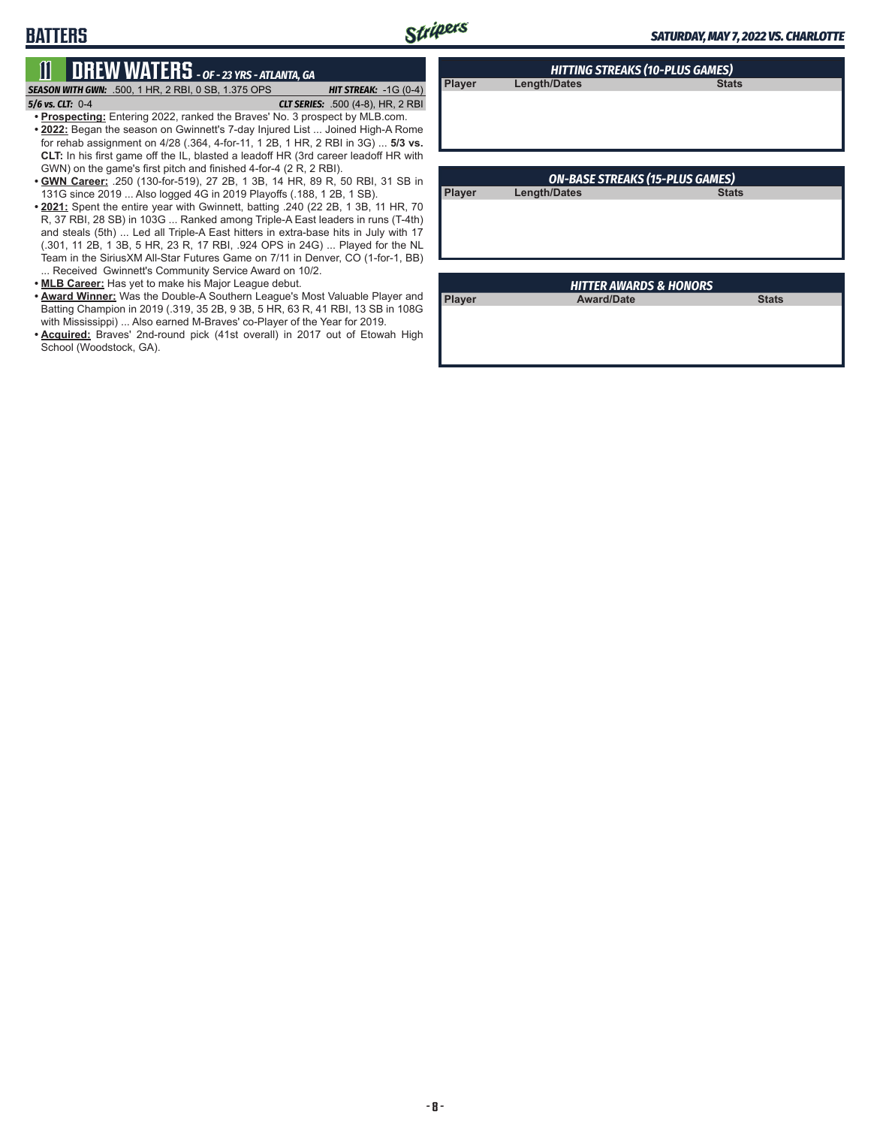**Player Length/Dates** 

# **11 DREW WATERS** *- OF - 23 YRS - ATLANTA, GA*

*SEASON WITH GWN:*.500, 1 HR, 2 RBI, 0 SB, 1.375 OPS *HIT STREAK:* -1G (0-4) *5/6 vs. CLT:*0-4 *CLT SERIES:* .500 (4-8), HR, 2 RBI

**BATTERS**

**• Prospecting:** Entering 2022, ranked the Braves' No. 3 prospect by MLB.com.

- **• 2022:** Began the season on Gwinnett's 7-day Injured List ... Joined High-A Rome for rehab assignment on 4/28 (.364, 4-for-11, 1 2B, 1 HR, 2 RBI in 3G) ... **5/3 vs. CLT:** In his first game off the IL, blasted a leadoff HR (3rd career leadoff HR with GWN) on the game's first pitch and finished 4-for-4 (2 R, 2 RBI).
- **• GWN Career:** .250 (130-for-519), 27 2B, 1 3B, 14 HR, 89 R, 50 RBI, 31 SB in 131G since 2019 ... Also logged 4G in 2019 Playoffs (.188, 1 2B, 1 SB).
- **• 2021:** Spent the entire year with Gwinnett, batting .240 (22 2B, 1 3B, 11 HR, 70 R, 37 RBI, 28 SB) in 103G ... Ranked among Triple-A East leaders in runs (T-4th) and steals (5th) ... Led all Triple-A East hitters in extra-base hits in July with 17 (.301, 11 2B, 1 3B, 5 HR, 23 R, 17 RBI, .924 OPS in 24G) ... Played for the NL Team in the SiriusXM All-Star Futures Game on 7/11 in Denver, CO (1-for-1, BB) ... Received Gwinnett's Community Service Award on 10/2.
- **• MLB Career:** Has yet to make his Major League debut.
- **• Award Winner:** Was the Double-A Southern League's Most Valuable Player and Batting Champion in 2019 (.319, 35 2B, 9 3B, 5 HR, 63 R, 41 RBI, 13 SB in 108G with Mississippi) ... Also earned M-Braves' co-Player of the Year for 2019.
- **• Acquired:** Braves' 2nd-round pick (41st overall) in 2017 out of Etowah High School (Woodstock, GA).

|        | <b>ON-BASE STREAKS (15-PLUS GAMES)</b> |              |
|--------|----------------------------------------|--------------|
| Player | Length/Dates                           | <b>Stats</b> |
|        |                                        |              |
|        |                                        |              |
|        |                                        |              |
|        |                                        |              |
|        |                                        |              |

*HITTING STREAKS (10-PLUS GAMES)*

| <b>HITTER AWARDS &amp; HONORS</b> |                   |              |  |
|-----------------------------------|-------------------|--------------|--|
| <b>Player</b>                     | <b>Award/Date</b> | <b>Stats</b> |  |
|                                   |                   |              |  |
|                                   |                   |              |  |
|                                   |                   |              |  |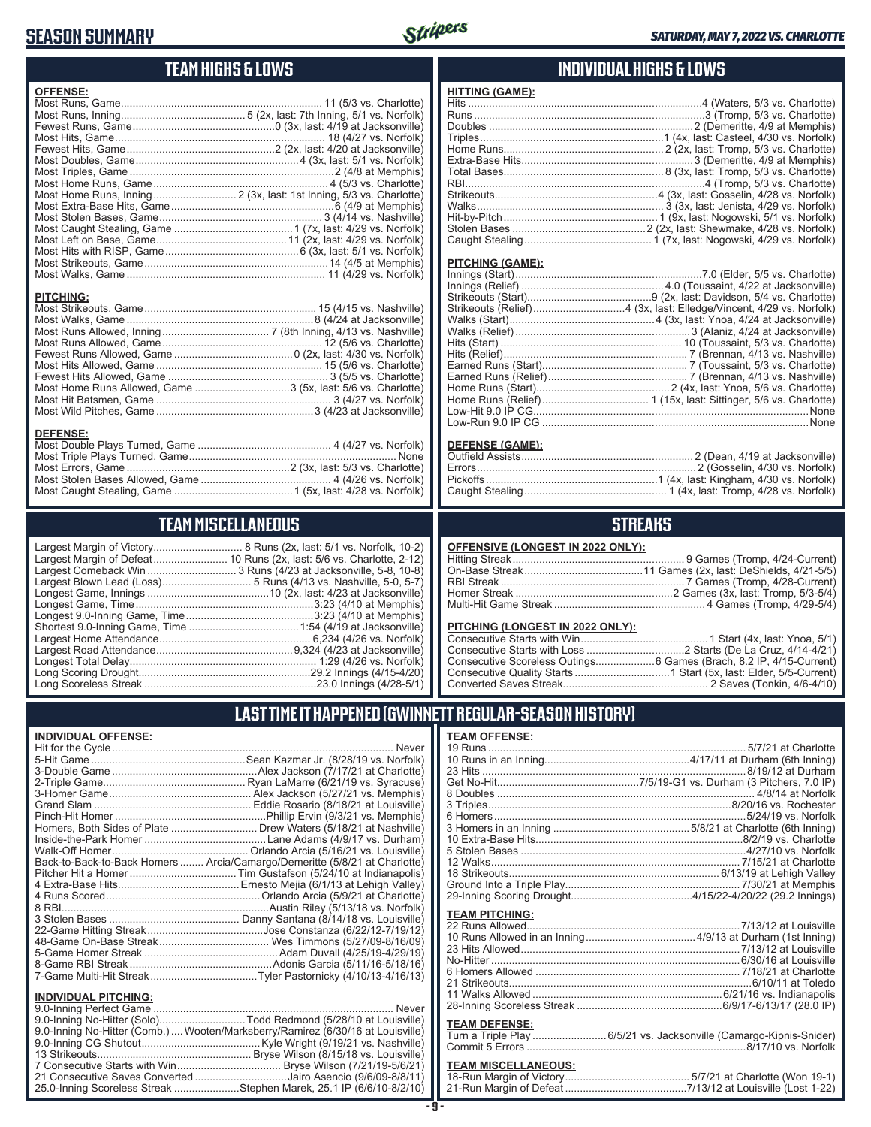# **SEASON SUMMARY**



#### **TEAM HIGHS & LOWS**

| <b>OFFENSE:</b>      |                         |
|----------------------|-------------------------|
|                      |                         |
|                      |                         |
|                      |                         |
|                      |                         |
|                      |                         |
|                      |                         |
|                      |                         |
|                      |                         |
|                      |                         |
|                      |                         |
|                      |                         |
|                      |                         |
|                      |                         |
|                      |                         |
|                      |                         |
|                      |                         |
|                      |                         |
| <b>PITCHING:</b>     |                         |
| Most Strikeouts Game | 15 (4/15 vs. Nashville) |

| <b>PITCHING:</b>                                                         |  |
|--------------------------------------------------------------------------|--|
|                                                                          |  |
|                                                                          |  |
| Most Runs Allowed, Inning……………………………… 7 (8th Inning, 4/13 vs. Nashville) |  |
|                                                                          |  |
|                                                                          |  |
|                                                                          |  |
|                                                                          |  |
| Most Home Runs Allowed, Game 3 (5x, last: 5/6 vs. Charlotte)             |  |
|                                                                          |  |
|                                                                          |  |

#### **DEFENSE:**

## **TEAM MISCELLANEOUS**

| Largest Margin of Victory      |
|--------------------------------|
| Largest Margin of Defeat       |
| Largest Comeback Win           |
| Largest Blown Lead (Loss)      |
| Longest Game, Innings          |
| Longest Game, Time             |
| Longest 9.0-Inning Game, Time  |
| Shortest 9.0-Inning Game, Time |
| Largest Home Attendance        |
| Largest Road Attendance        |
| Longest Total Delay            |
| Long Scoring Drought           |
| Long Scoreless Streak          |

...................... 8 Runs (2x, last: 5/1 vs. Norfolk, 10-2) ............. 10 Runs (2x, last: 5/6 vs. Charlotte, 2-12) .................. 3 Runs (4/23 at Jacksonville, 5-8, 10-8) ........................ 5 Runs (4/13 vs. Nashville, 5-0, 5-7) ..............................10 (2x, last: 4/23 at Jacksonville) Longest Game, Time ............................................................3:23 (4/10 at Memphis) Longest 9.0-Inning Game, Time ...........................................3:23 (4/10 at Memphis) Shortest 9.0-Inning Game, Time .....................................1:54 (4/19 at Jacksonville) Largest Home Attendance ................................................... 6,234 (4/26 vs. Norfolk) Largest Road Attendance ..............................................9,324 (4/23 at Jacksonville) Longest Total Delay............................................................... 1:29 (4/26 vs. Norfolk) Long Scoring Drought..........................................................29.2 Innings (4/15-4/20) Long Scoreless Streak ..........................................................23.0 Innings (4/28-5/1)

#### **INDIVIDUAL HIGHS & LOWS**

#### **HITTING (GAME):** Hits ...............................................................................4 (Waters, 5/3 vs. Charlotte) Runs ..............................................................................3 (Tromp, 5/3 vs. Charlotte) Doubles .....................................................................2 (Demeritte, 4/9 at Memphis) Triples..............................................................1 (4x, last: Casteel, 4/30 vs. Norfolk) Home Runs...................................................... 2 (2x, last: Tromp, 5/3 vs. Charlotte) Extra-Base Hits..........................................................3 (Demeritte, 4/9 at Memphis) Total Bases...................................................... 8 (3x, last: Tromp, 5/3 vs. Charlotte) RBI.................................................................................4 (Tromp, 5/3 vs. Charlotte) Strikeouts.......................................................4 (3x, last: Gosselin, 4/28 vs. Norfolk) Walks............................................................... 3 (3x, last: Jenista, 4/29 vs. Norfolk) Hit-by-Pitch.................................................... 1 (9x, last: Nogowski, 5/1 vs. Norfolk) Stolen Bases .............................................2 (2x, last: Shewmake, 4/28 vs. Norfolk) Caught Stealing........................................... 1 (7x, last: Nogowski, 4/29 vs. Norfolk)

#### **PITCHING (GAME):**

#### **DEFENSE (GAME):**

#### **STREAKS**

#### **OFFENSIVE (LONGEST IN 2022 ONLY):**

#### **PITCHING (LONGEST IN 2022 ONLY):**

10 Runs in an Inning.................................................4/17/11 at Durham (6th Inning) 23 Hits .........................................................................................8/19/12 at Durham Get No-Hit................................................7/5/19-G1 vs. Durham (3 Pitchers, 7.0 IP)

19 Runs ....................................................................................... 5/7/21 at Charlotte

### **LAST TIME IT HAPPENED (GWINNETT REGULAR-SEASON HISTORY)**

#### **INDIVIDUAL OFFENSE:**

|                             | Homers, Both Sides of Plate  Drew Waters (5/18/21 at Nashville)            |
|-----------------------------|----------------------------------------------------------------------------|
|                             |                                                                            |
|                             |                                                                            |
|                             | Back-to-Back-to-Back Homers  Arcia/Camargo/Demeritte (5/8/21 at Charlotte) |
|                             |                                                                            |
|                             |                                                                            |
|                             |                                                                            |
|                             |                                                                            |
|                             |                                                                            |
|                             |                                                                            |
|                             |                                                                            |
|                             |                                                                            |
|                             |                                                                            |
|                             |                                                                            |
| <b>INDIVIDUAL PITCHING:</b> |                                                                            |
|                             |                                                                            |

| <b>INDIVIDUAL PITCHING:</b>                                                    |  |
|--------------------------------------------------------------------------------|--|
|                                                                                |  |
| 9.0-Inning No-Hitter (Solo)Todd Redmond (5/28/10 at Louisville)                |  |
| 9.0-Inning No-Hitter (Comb.) Wooten/Marksberry/Ramirez (6/30/16 at Louisville) |  |
|                                                                                |  |
|                                                                                |  |
|                                                                                |  |
| 21 Consecutive Saves Converted Jairo Asencio (9/6/09-8/8/11)                   |  |
| 25.0-Inning Scoreless Streak Stephen Marek, 25.1 IP (6/6/10-8/2/10)            |  |

# 8 Doubles ....................................................................................... 4/8/14 at Norfolk

**TEAM OFFENSE:**

| <b>TEAM PITCHING:</b>                                       |  |
|-------------------------------------------------------------|--|
|                                                             |  |
| 23 Hits Allowed……………………………………………………………7/13/12 at Louisville |  |
|                                                             |  |
|                                                             |  |
|                                                             |  |
|                                                             |  |
|                                                             |  |

#### **TEAM DEFENSE:**

| . |                                                                    |
|---|--------------------------------------------------------------------|
|   | Turn a Triple Play 6/5/21 vs. Jacksonville (Camargo-Kipnis-Snider) |
|   |                                                                    |

## **TEAM MISCELLANEOUS:**